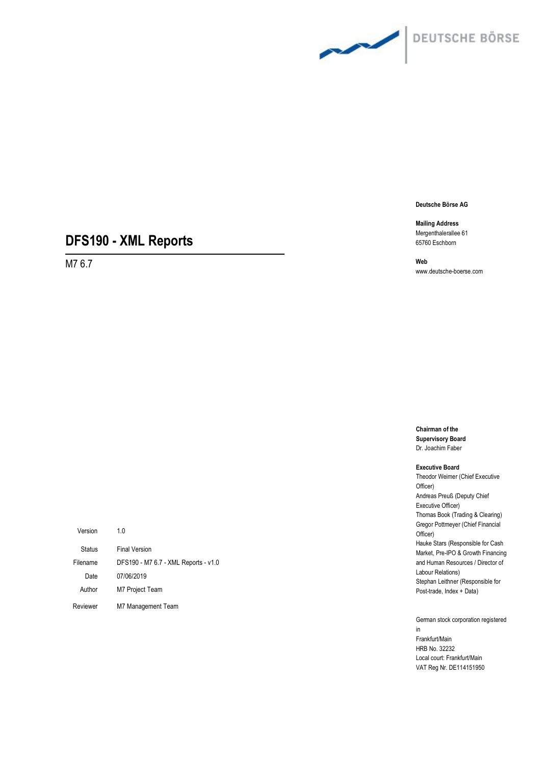

**Mailing Address** Mergenthalerallee 61 65760 Eschborn

# **DFS190 - XML Reports**

M7 6.7

**Web** www.deutsche-boerse.com

**Chairman of the Supervisory Board** Dr. Joachim Faber

#### **Executive Board**

Theodor Weimer (Chief Executive Officer) Andreas Preuß (Deputy Chief Executive Officer) Thomas Book (Trading & Clearing) Gregor Pottmeyer (Chief Financial Officer) Hauke Stars (Responsible for Cash Market, Pre-IPO & Growth Financing and Human Resources / Director of Labour Relations) Stephan Leithner (Responsible for Post-trade, Index + Data)

German stock corporation registered in Frankfurt/Main HRB No. 32232 Local court: Frankfurt/Main VAT Reg Nr. DE114151950

| Version  | 10                                   |
|----------|--------------------------------------|
| Status   | <b>Final Version</b>                 |
| Filename | DFS190 - M7 6.7 - XML Reports - v1.0 |
| Date     | 07/06/2019                           |
| Author   | M7 Project Team                      |
| Reviewer | M7 Management Team                   |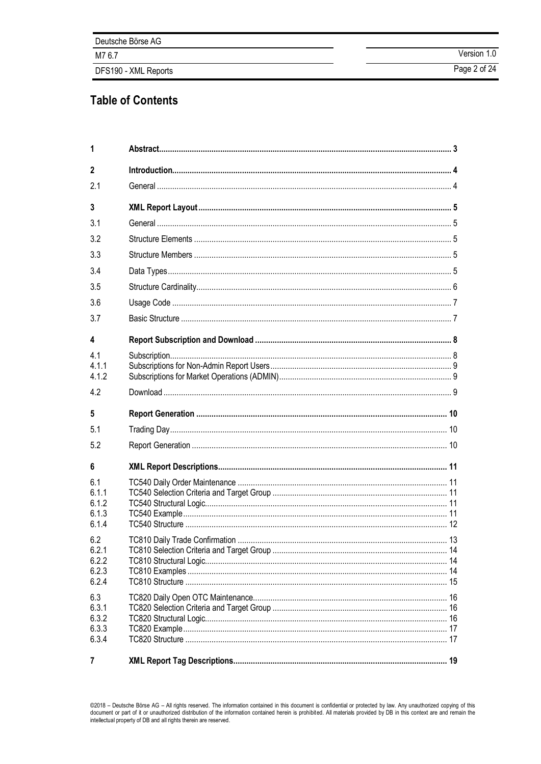| Deutsche Börse AG    |              |
|----------------------|--------------|
| M7 6.7               | Version 1.0  |
| DFS190 - XML Reports | Page 2 of 24 |

# **Table of Contents**

| 1                                       |  |
|-----------------------------------------|--|
| $\mathfrak z$                           |  |
| 2.1                                     |  |
| $\mathbf{3}$                            |  |
| 3.1                                     |  |
| 3.2                                     |  |
| 3.3                                     |  |
| 3.4                                     |  |
| 3.5                                     |  |
| 3.6                                     |  |
| 3.7                                     |  |
| 4                                       |  |
| 4.1<br>411<br>4.1.2                     |  |
| 4.2                                     |  |
|                                         |  |
| 5                                       |  |
| 5.1                                     |  |
| 5.2                                     |  |
| 6                                       |  |
| 6.1<br>6.1.1<br>6.1.2<br>6.1.3<br>6.1.4 |  |
| 6.2<br>6.2.1<br>6.2.2<br>6.2.3<br>6.2.4 |  |
| 6.3<br>6.3.1<br>6.3.2<br>6.3.3<br>6.3.4 |  |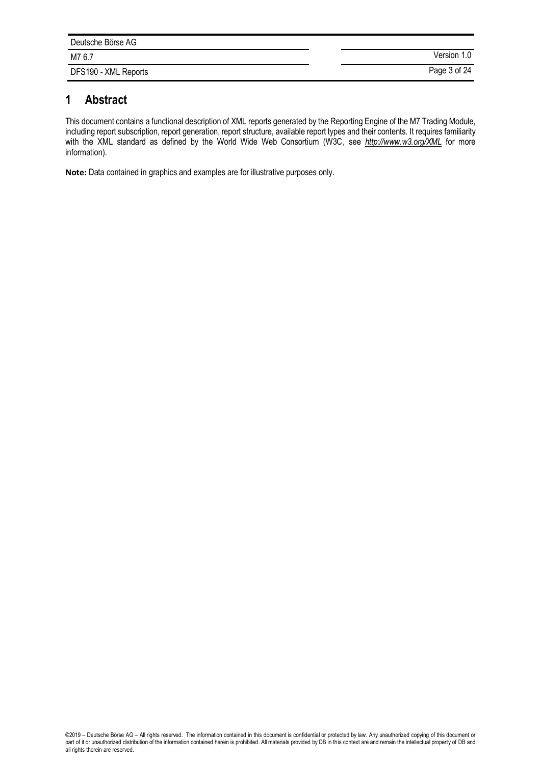| Deutsche Börse AG    |              |
|----------------------|--------------|
| M7 6.7               | Version 1.0  |
| DFS190 - XML Reports | Page 3 of 24 |

# **1 Abstract**

This document contains a functional description of XML reports generated by the Reporting Engine of the M7 Trading Module, including report subscription, report generation, report structure, available report types and their contents. It requires familiarity with the XML standard as defined by the World Wide Web Consortium (W3C, see *http://www.w3.org*/XML for more information).

**Note:** Data contained in graphics and examples are for illustrative purposes only.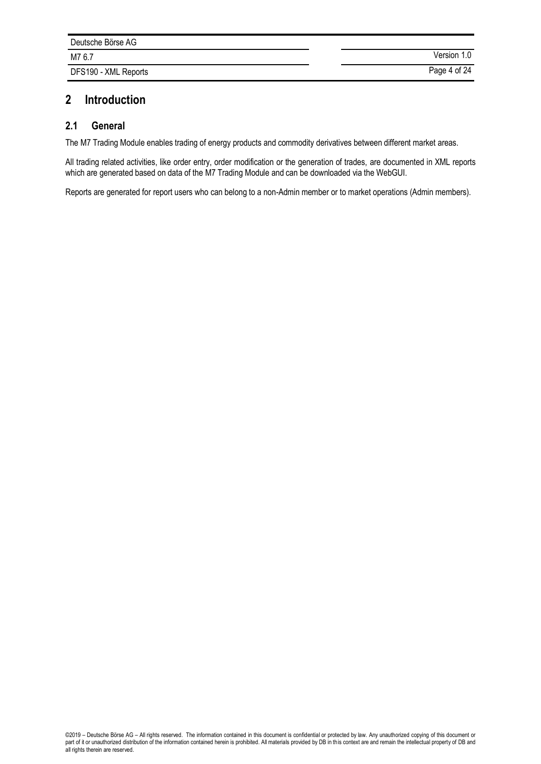| Deutsche Börse AG    |              |
|----------------------|--------------|
| M7 6.7               | Version 1.0  |
| DFS190 - XML Reports | Page 4 of 24 |

# **2 Introduction**

## **2.1 General**

The M7 Trading Module enables trading of energy products and commodity derivatives between different market areas.

All trading related activities, like order entry, order modification or the generation of trades, are documented in XML reports which are generated based on data of the M7 Trading Module and can be downloaded via the WebGUI.

Reports are generated for report users who can belong to a non-Admin member or to market operations (Admin members).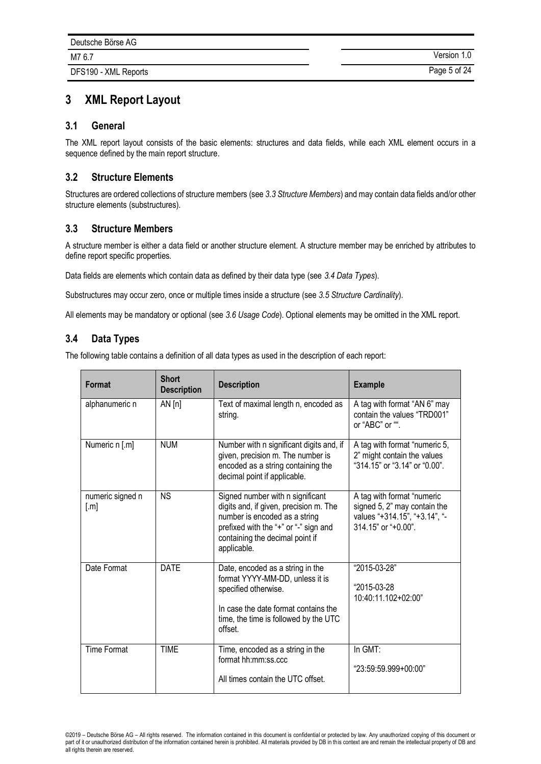# **3 XML Report Layout**

## **3.1 General**

The XML report layout consists of the basic elements: structures and data fields, while each XML element occurs in a sequence defined by the main report structure.

## **3.2 Structure Elements**

Structures are ordered collections of structure members (see *[3.3](#page-4-0) [Structure Members](#page-4-0)*) and may contain data fields and/or other structure elements (substructures).

## <span id="page-4-0"></span>**3.3 Structure Members**

A structure member is either a data field or another structure element. A structure member may be enriched by attributes to define report specific properties.

Data fields are elements which contain data as defined by their data type (see *[3.4](#page-4-1) [Data Types](#page-4-1)*).

Substructures may occur zero, once or multiple times inside a structure (see *[3.5](#page-5-0) [Structure Cardinality](#page-5-0)*).

All elements may be mandatory or optional (see *3.6 Usage Code*). Optional elements may be omitted in the XML report.

# <span id="page-4-1"></span>**3.4 Data Types**

The following table contains a definition of all data types as used in the description of each report:

| Format                               | <b>Short</b><br><b>Description</b> | <b>Description</b>                                                                                                                                                                                     | <b>Example</b>                                                                                                     |
|--------------------------------------|------------------------------------|--------------------------------------------------------------------------------------------------------------------------------------------------------------------------------------------------------|--------------------------------------------------------------------------------------------------------------------|
| alphanumeric n                       | AN[n]                              | Text of maximal length n, encoded as<br>string.                                                                                                                                                        | A tag with format "AN 6" may<br>contain the values "TRD001"<br>or "ABC" or "".                                     |
| Numeric n [.m]                       | <b>NUM</b>                         | Number with n significant digits and, if<br>given, precision m. The number is<br>encoded as a string containing the<br>decimal point if applicable.                                                    | A tag with format "numeric 5,<br>2" might contain the values<br>"314.15" or "3.14" or "0.00".                      |
| numeric signed n<br>$\lceil.m\rceil$ | <b>NS</b>                          | Signed number with n significant<br>digits and, if given, precision m. The<br>number is encoded as a string<br>prefixed with the "+" or "-" sign and<br>containing the decimal point if<br>applicable. | A tag with format "numeric<br>signed 5, 2" may contain the<br>values "+314.15", "+3.14", "-<br>314.15" or "+0.00". |
| Date Format                          | <b>DATE</b>                        | Date, encoded as a string in the<br>format YYYY-MM-DD, unless it is<br>specified otherwise.<br>In case the date format contains the<br>time, the time is followed by the UTC<br>offset.                | "2015-03-28"<br>"2015-03-28<br>10:40:11.102+02:00"                                                                 |
| <b>Time Format</b>                   | <b>TIME</b>                        | Time, encoded as a string in the<br>format hh:mm:ss.ccc<br>All times contain the UTC offset.                                                                                                           | In GMT:<br>"23:59:59.999+00:00"                                                                                    |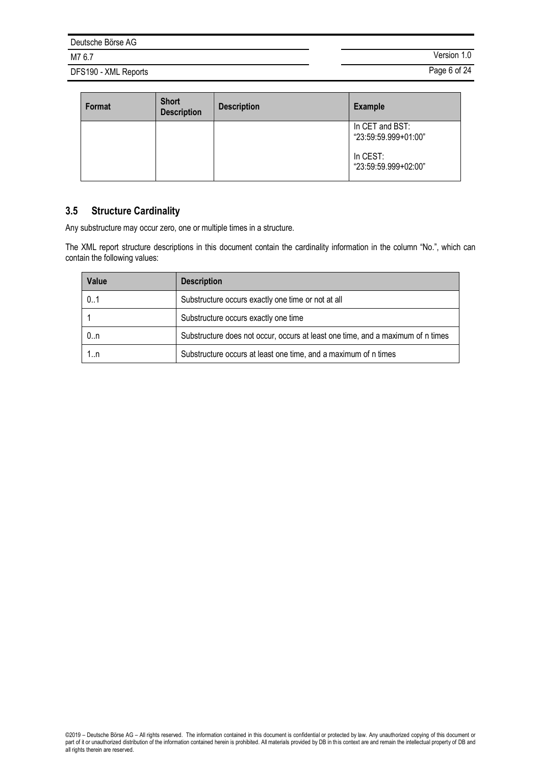DFS190 - XML Reports **Page 6 of 24** 

M7 6.7 Version 1.0

| Format | <b>Short</b><br><b>Description</b> | <b>Description</b> | <b>Example</b>                          |
|--------|------------------------------------|--------------------|-----------------------------------------|
|        |                                    |                    | In CET and BST:<br>"23:59:59.999+01:00" |
|        |                                    |                    | In CEST:<br>"23:59:59.999+02:00"        |

# <span id="page-5-0"></span>**3.5 Structure Cardinality**

Any substructure may occur zero, one or multiple times in a structure.

The XML report structure descriptions in this document contain the cardinality information in the column "No.", which can contain the following values:

| Value | <b>Description</b>                                                              |
|-------|---------------------------------------------------------------------------------|
| 0.1   | Substructure occurs exactly one time or not at all                              |
|       | Substructure occurs exactly one time                                            |
| 0n    | Substructure does not occur, occurs at least one time, and a maximum of n times |
| 1.n   | Substructure occurs at least one time, and a maximum of n times                 |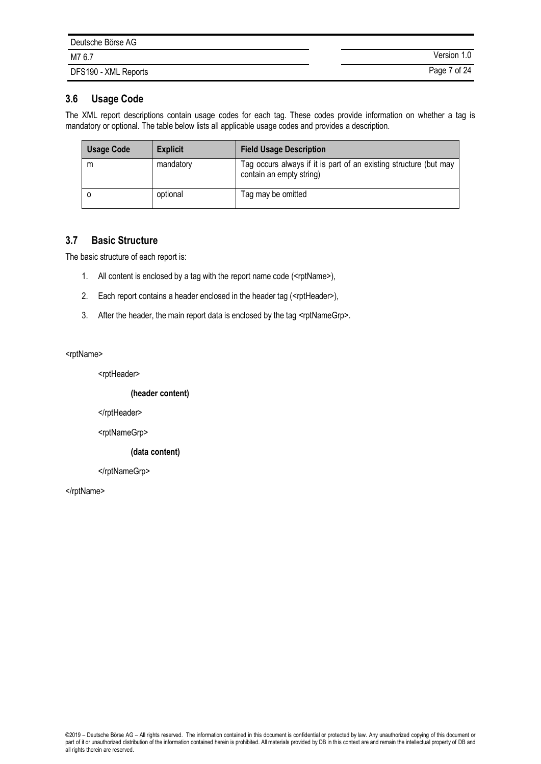| Deutsche Börse AG    |              |
|----------------------|--------------|
| M7 6.7               | Version 1.0  |
| DFS190 - XML Reports | Page 7 of 24 |

## **3.6 Usage Code**

The XML report descriptions contain usage codes for each tag. These codes provide information on whether a tag is mandatory or optional. The table below lists all applicable usage codes and provides a description.

| <b>Usage Code</b> | <b>Explicit</b> | <b>Field Usage Description</b>                                                                |
|-------------------|-----------------|-----------------------------------------------------------------------------------------------|
| m                 | mandatory       | Tag occurs always if it is part of an existing structure (but may<br>contain an empty string) |
|                   | optional        | Tag may be omitted                                                                            |

## **3.7 Basic Structure**

The basic structure of each report is:

- 1. All content is enclosed by a tag with the report name code (<rptName>),
- 2. Each report contains a header enclosed in the header tag (<rptHeader>),
- 3. After the header, the main report data is enclosed by the tag <rptNameGrp>.

#### <rptName>

<rptHeader>

#### **(header content)**

</rptHeader>

<rptNameGrp>

#### **(data content)**

</rptNameGrp>

</rptName>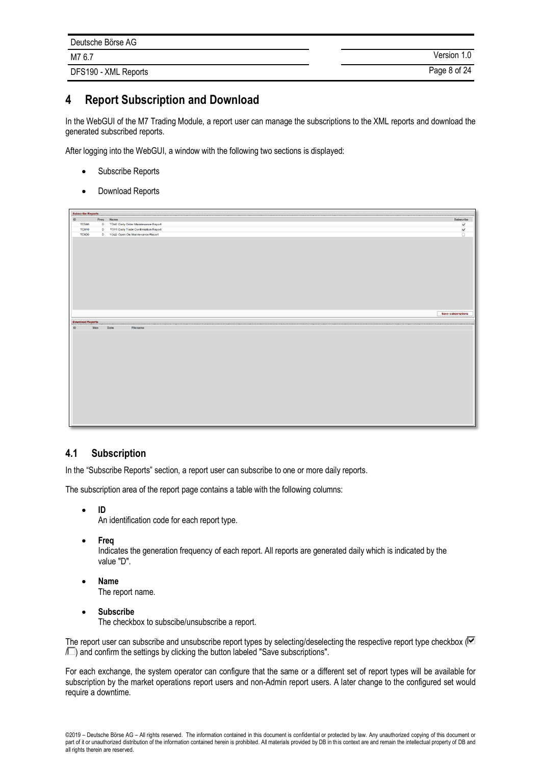| Deutsche Börse AG    |              |
|----------------------|--------------|
| M7 6.7               | Version 1.0  |
| DFS190 - XML Reports | Page 8 of 24 |

# **4 Report Subscription and Download**

In the WebGUI of the M7 Trading Module, a report user can manage the subscriptions to the XML reports and download the generated subscribed reports.

After logging into the WebGUI, a window with the following two sections is displayed:

- Subscribe Reports
- Download Reports



## <span id="page-7-0"></span>**4.1 Subscription**

In the "Subscribe Reports" section, a report user can subscribe to one or more daily reports.

The subscription area of the report page contains a table with the following columns:

• **ID**

An identification code for each report type.

• **Freq**

Indicates the generation frequency of each report. All reports are generated daily which is indicated by the value "D".

- **Name** The report name.
- **Subscribe** The checkbox to subscibe/unsubscribe a report.

The report user can subscribe and unsubscribe report types by selecting/deselecting the respective report type checkbox  $\mathbb{F}$  $\sqrt{2}$  and confirm the settings by clicking the button labeled "Save subscriptions".

For each exchange, the system operator can configure that the same or a different set of report types will be available for subscription by the market operations report users and non-Admin report users. A later change to the configured set would require a downtime.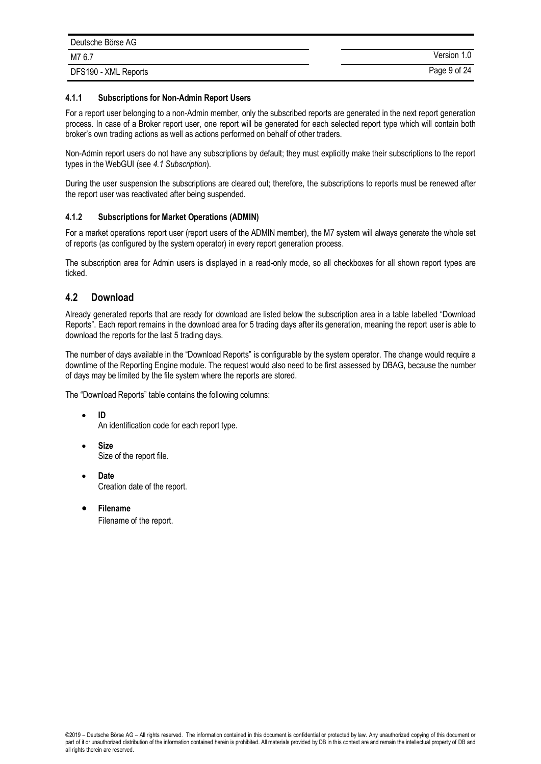| Deutsche Börse AG    |              |
|----------------------|--------------|
| M7 6.7               | Version 1.0  |
| DFS190 - XML Reports | Page 9 of 24 |

#### **4.1.1 Subscriptions for Non-Admin Report Users**

For a report user belonging to a non-Admin member, only the subscribed reports are generated in the next report generation process. In case of a Broker report user, one report will be generated for each selected report type which will contain both broker's own trading actions as well as actions performed on behalf of other traders.

Non-Admin report users do not have any subscriptions by default; they must explicitly make their subscriptions to the report types in the WebGUI (see *[4.1](#page-7-0) [Subscription](#page-7-0)*).

During the user suspension the subscriptions are cleared out; therefore, the subscriptions to reports must be renewed after the report user was reactivated after being suspended.

#### **4.1.2 Subscriptions for Market Operations (ADMIN)**

For a market operations report user (report users of the ADMIN member), the M7 system will always generate the whole set of reports (as configured by the system operator) in every report generation process.

The subscription area for Admin users is displayed in a read-only mode, so all checkboxes for all shown report types are ticked.

## **4.2 Download**

Already generated reports that are ready for download are listed below the subscription area in a table labelled "Download Reports". Each report remains in the download area for 5 trading days after its generation, meaning the report user is able to download the reports for the last 5 trading days.

The number of days available in the "Download Reports" is configurable by the system operator. The change would require a downtime of the Reporting Engine module. The request would also need to be first assessed by DBAG, because the number of days may be limited by the file system where the reports are stored.

The "Download Reports" table contains the following columns:

- **ID** An identification code for each report type.
- **Size** Size of the report file.

• **Date** Creation date of the report.

• **Filename** Filename of the report.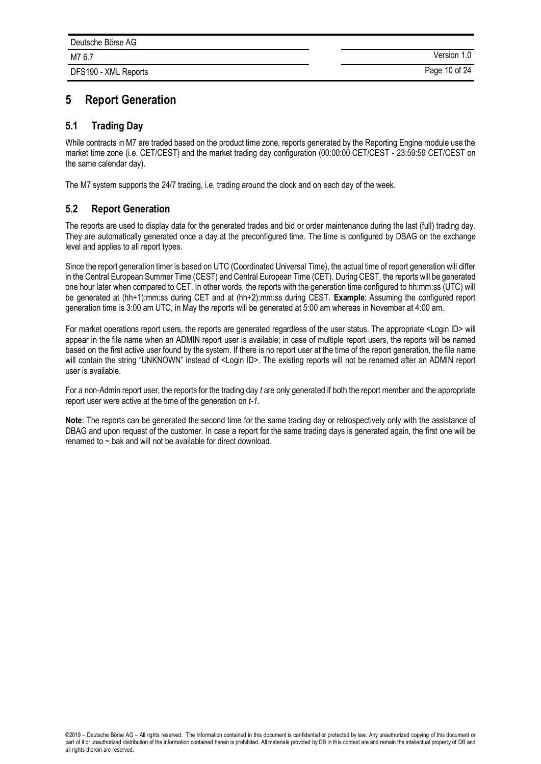# **5 Report Generation**

## **5.1 Trading Day**

While contracts in M7 are traded based on the product time zone, reports generated by the Reporting Engine module use the market time zone (i.e. CET/CEST) and the market trading day configuration (00:00:00 CET/CEST - 23:59:59 CET/CEST on the same calendar day).

The M7 system supports the 24/7 trading, i.e. trading around the clock and on each day of the week.

## **5.2 Report Generation**

The reports are used to display data for the generated trades and bid or order maintenance during the last (full) trading day. They are automatically generated once a day at the preconfigured time. The time is configured by DBAG on the exchange level and applies to all report types.

Since the report generation timer is based on UTC (Coordinated Universal Time), the actual time of report generation will differ in the Central European Summer Time (CEST) and Central European Time (CET). During CEST, the reports will be generated one hour later when compared to CET. In other words, the reports with the generation time configured to hh:mm:ss (UTC) will be generated at (hh+1):mm:ss during CET and at (hh+2):mm:ss during CEST. **Example**: Assuming the configured report generation time is 3:00 am UTC, in May the reports will be generated at 5:00 am whereas in November at 4:00 am.

For market operations report users, the reports are generated regardless of the user status. The appropriate <Login ID> will appear in the file name when an ADMIN report user is available; in case of multiple report users, the reports will be named based on the first active user found by the system. If there is no report user at the time of the report generation, the file name will contain the string "UNKNOWN" instead of <Login ID>. The existing reports will not be renamed after an ADMIN report user is available.

For a non-Admin report user, the reports for the trading day *t* are only generated if both the report member and the appropriate report user were active at the time of the generation on *t-1*.

**Note**: The reports can be generated the second time for the same trading day or retrospectively only with the assistance of DBAG and upon request of the customer. In case a report for the same trading days is generated again, the first one will be renamed to ~.bak and will not be available for direct download.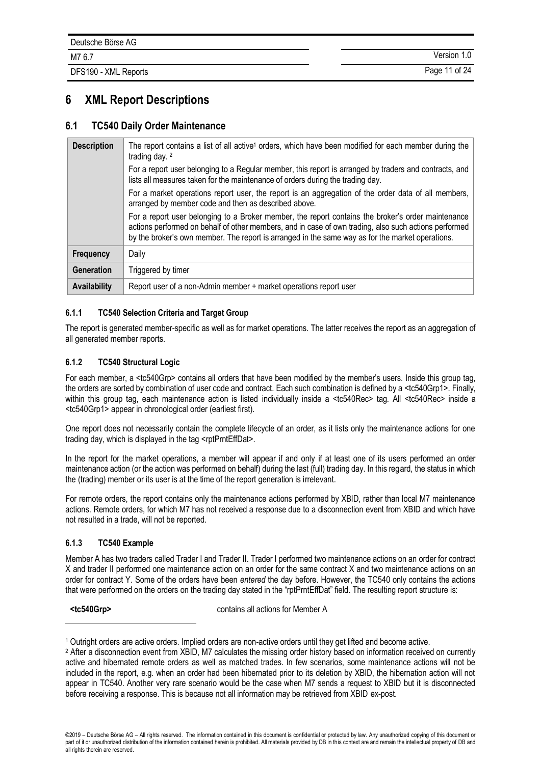DFS190 - XML Reports Page 11 of 24

# **6 XML Report Descriptions**

## **6.1 TC540 Daily Order Maintenance**

| <b>Description</b> | The report contains a list of all active <sup>1</sup> orders, which have been modified for each member during the<br>trading day. 2                                                                                                                                                                             |
|--------------------|-----------------------------------------------------------------------------------------------------------------------------------------------------------------------------------------------------------------------------------------------------------------------------------------------------------------|
|                    | For a report user belonging to a Regular member, this report is arranged by traders and contracts, and<br>lists all measures taken for the maintenance of orders during the trading day.                                                                                                                        |
|                    | For a market operations report user, the report is an aggregation of the order data of all members,<br>arranged by member code and then as described above.                                                                                                                                                     |
|                    | For a report user belonging to a Broker member, the report contains the broker's order maintenance<br>actions performed on behalf of other members, and in case of own trading, also such actions performed<br>by the broker's own member. The report is arranged in the same way as for the market operations. |
| <b>Frequency</b>   | Daily                                                                                                                                                                                                                                                                                                           |
| Generation         | Triggered by timer                                                                                                                                                                                                                                                                                              |
| Availability       | Report user of a non-Admin member + market operations report user                                                                                                                                                                                                                                               |

#### **6.1.1 TC540 Selection Criteria and Target Group**

The report is generated member-specific as well as for market operations. The latter receives the report as an aggregation of all generated member reports.

### **6.1.2 TC540 Structural Logic**

For each member, a <tc540Grp> contains all orders that have been modified by the member's users. Inside this group tag, the orders are sorted by combination of user code and contract. Each such combination is defined by a <tc540Grp1>. Finally, within this group tag, each maintenance action is listed individually inside a <tc540Rec> tag. All <tc540Rec> inside a <tc540Grp1> appear in chronological order (earliest first).

One report does not necessarily contain the complete lifecycle of an order, as it lists only the maintenance actions for one trading day, which is displayed in the tag <rptPrntEffDat>.

In the report for the market operations, a member will appear if and only if at least one of its users performed an order maintenance action (or the action was performed on behalf) during the last (full) trading day. In this regard, the status in which the (trading) member or its user is at the time of the report generation is irrelevant.

For remote orders, the report contains only the maintenance actions performed by XBID, rather than local M7 maintenance actions. Remote orders, for which M7 has not received a response due to a disconnection event from XBID and which have not resulted in a trade, will not be reported.

#### **6.1.3 TC540 Example**

Member A has two traders called Trader I and Trader II. Trader I performed two maintenance actions on an order for contract X and trader II performed one maintenance action on an order for the same contract X and two maintenance actions on an order for contract Y. Some of the orders have been *entered* the day before. However, the TC540 only contains the actions that were performed on the orders on the trading day stated in the "rptPrntEffDat" field. The resulting report structure is:

-

**<tc540Grp>** contains all actions for Member A

<sup>1</sup> Outright orders are active orders. Implied orders are non-active orders until they get lifted and become active.

<sup>2</sup> After a disconnection event from XBID, M7 calculates the missing order history based on information received on currently active and hibernated remote orders as well as matched trades. In few scenarios, some maintenance actions will not be included in the report, e.g. when an order had been hibernated prior to its deletion by XBID, the hibernation action will not appear in TC540. Another very rare scenario would be the case when M7 sends a request to XBID but it is disconnected before receiving a response. This is because not all information may be retrieved from XBID ex-post.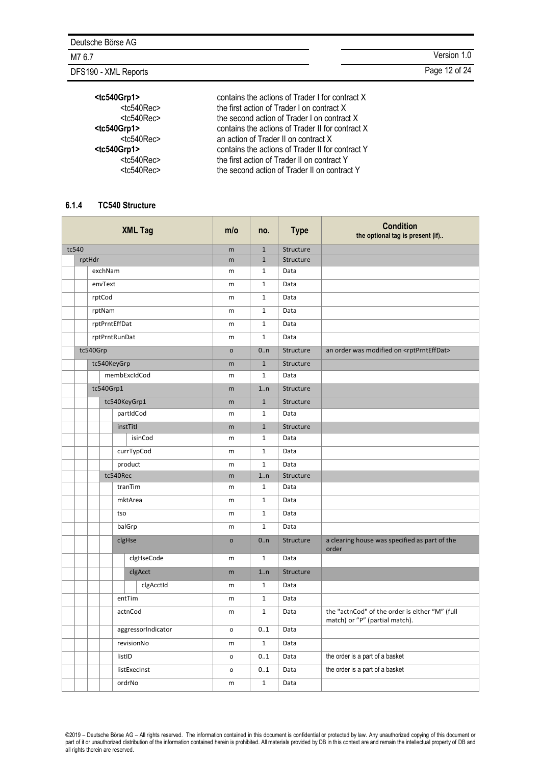DFS190 - XML Reports **Page 12 of 24** 

M7 6.7 Version 1.0

| <tc540grp1></tc540grp1> | contains the actions of Trader I for   |
|-------------------------|----------------------------------------|
| <tc540rec></tc540rec>   | the first action of Trader I on contra |
| <tc540rec></tc540rec>   | the second action of Trader I on co    |
| <tc540grp1></tc540grp1> | contains the actions of Trader II for  |
| <tc540rec></tc540rec>   | an action of Trader II on contract X   |
| <tc540grp1></tc540grp1> | contains the actions of Trader II for  |
| <tc540rec></tc540rec>   | the first action of Trader II on contr |
| <tc540rec></tc540rec>   | the second action of Trader II on co   |
|                         |                                        |

**Example 1** for contract X contract X on contract X er II for contract X<br>tract X **Example 1** For contract Y contract Y II on contract Y

#### <span id="page-11-0"></span>**6.1.4 TC540 Structure**

| <b>XML Tag</b> |          |                    | m/o          | no.                 | <b>Type</b>  | <b>Condition</b><br>the optional tag is present (if) |                                                                                  |           |                                                          |
|----------------|----------|--------------------|--------------|---------------------|--------------|------------------------------------------------------|----------------------------------------------------------------------------------|-----------|----------------------------------------------------------|
| tc540          |          | m                  | $\mathbf{1}$ | Structure           |              |                                                      |                                                                                  |           |                                                          |
|                |          | rptHdr             |              |                     |              | m                                                    | $\mathbf{1}$                                                                     | Structure |                                                          |
|                |          |                    | exchNam      |                     |              | m                                                    | $\mathbf{1}$                                                                     | Data      |                                                          |
|                |          |                    | envText      |                     |              | m                                                    | $\mathbf 1$                                                                      | Data      |                                                          |
|                |          |                    | rptCod       |                     |              | m                                                    | $\mathbf{1}$                                                                     | Data      |                                                          |
|                |          |                    | rptNam       |                     |              | m                                                    | $\mathbf{1}$                                                                     | Data      |                                                          |
|                |          |                    |              | rptPrntEffDat       |              | m                                                    | $\mathbf{1}$                                                                     | Data      |                                                          |
|                |          |                    |              | rptPrntRunDat       |              | m                                                    | $\mathbf{1}$                                                                     | Data      |                                                          |
|                |          | tc540Grp           |              |                     |              | $\circ$                                              | 0.n                                                                              | Structure | an order was modified on <rptprnteffdat></rptprnteffdat> |
|                |          |                    |              | tc540KeyGrp         |              | m                                                    | $\mathbf{1}$                                                                     | Structure |                                                          |
|                |          |                    |              |                     | membExcIdCod | m                                                    | $\mathbf 1$                                                                      | Data      |                                                          |
|                |          |                    | tc540Grp1    |                     |              | m                                                    | 1n                                                                               | Structure |                                                          |
|                |          |                    |              | tc540KeyGrp1        |              | m                                                    | $\mathbf{1}$                                                                     | Structure |                                                          |
|                |          |                    |              |                     | partIdCod    | m                                                    | $\mathbf 1$                                                                      | Data      |                                                          |
|                |          |                    |              | instTitl            |              | m                                                    | $\mathbf{1}$                                                                     | Structure |                                                          |
|                |          |                    |              |                     | isinCod      | m                                                    | $\mathbf{1}$                                                                     | Data      |                                                          |
|                |          |                    |              |                     | currTypCod   | m                                                    | $\mathbf{1}$                                                                     | Data      |                                                          |
|                |          | product            |              | m                   | $\mathbf{1}$ | Data                                                 |                                                                                  |           |                                                          |
|                | tc540Rec |                    | m            | 1n                  | Structure    |                                                      |                                                                                  |           |                                                          |
|                |          | tranTim            |              | m                   | $\mathbf{1}$ | Data                                                 |                                                                                  |           |                                                          |
|                |          |                    |              | mktArea             |              | m                                                    | $\mathbf 1$                                                                      | Data      |                                                          |
|                |          | tso                |              | m                   | $\mathbf{1}$ | Data                                                 |                                                                                  |           |                                                          |
|                |          | balGrp             |              | m                   | $\mathbf{1}$ | Data                                                 |                                                                                  |           |                                                          |
|                |          |                    |              | clgHse              |              | $\circ$                                              | 0n                                                                               | Structure | a clearing house was specified as part of the<br>order   |
|                |          |                    |              |                     | clgHseCode   | m                                                    | $\mathbf{1}$                                                                     | Data      |                                                          |
|                |          |                    |              |                     | clgAcct      | m                                                    | 1n                                                                               | Structure |                                                          |
|                |          |                    |              |                     | clgAcctId    | m                                                    | $\mathbf{1}$                                                                     | Data      |                                                          |
|                |          |                    |              | entTim              |              | m                                                    | $\mathbf{1}$                                                                     | Data      |                                                          |
|                |          | actnCod            |              | m                   | $\mathbf{1}$ | Data                                                 | the "actnCod" of the order is either "M" (full<br>match) or "P" (partial match). |           |                                                          |
|                |          | aggressorIndicator |              | $\mathsf{o}\xspace$ | 0.1          | Data                                                 |                                                                                  |           |                                                          |
|                |          | revisionNo         |              | m                   | $\mathbf 1$  | Data                                                 |                                                                                  |           |                                                          |
|                |          |                    |              | listID              |              | o                                                    | 01                                                                               | Data      | the order is a part of a basket                          |
|                |          |                    |              |                     | listExecInst | $\mathsf{o}\,$                                       | 0.1                                                                              | Data      | the order is a part of a basket                          |
|                |          |                    |              | ordrNo              |              | m                                                    | $\mathbf{1}$                                                                     | Data      |                                                          |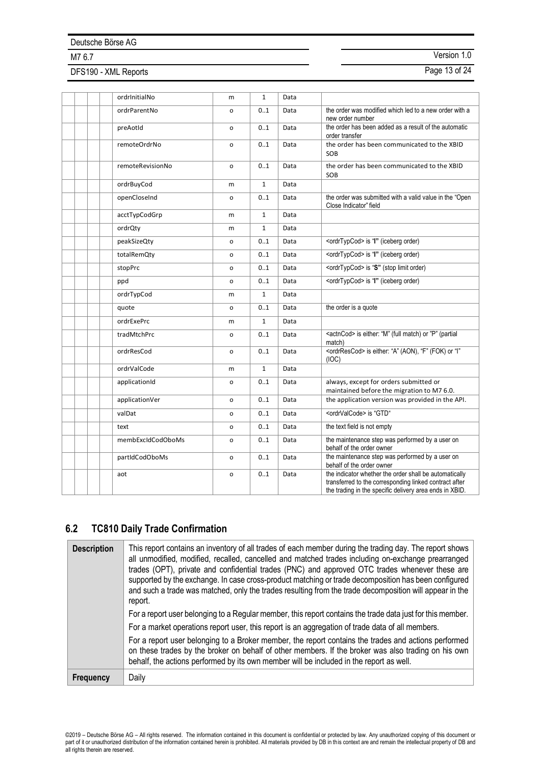DFS190 - XML Reports **Page 13 of 24** 

M7 6.7 Version 1.0

| ordrInitialNo     | m            | $\mathbf{1}$ | Data |                                                                                                                                                                             |
|-------------------|--------------|--------------|------|-----------------------------------------------------------------------------------------------------------------------------------------------------------------------------|
| ordrParentNo      | o            | 0.1          | Data | the order was modified which led to a new order with a<br>new order number                                                                                                  |
| preAotId          | o            | 01           | Data | the order has been added as a result of the automatic<br>order transfer                                                                                                     |
| remoteOrdrNo      | o            | 01           | Data | the order has been communicated to the XBID<br>SOB                                                                                                                          |
| remoteRevisionNo  | o            | 0.1          | Data | the order has been communicated to the XBID<br>SOB                                                                                                                          |
| ordrBuyCod        | m            | $\mathbf{1}$ | Data |                                                                                                                                                                             |
| openCloseInd      | o            | 01           | Data | the order was submitted with a valid value in the "Open"<br>Close Indicator" field                                                                                          |
| acctTypCodGrp     | m            | $\mathbf{1}$ | Data |                                                                                                                                                                             |
| ordrQty           | m            | $\mathbf{1}$ | Data |                                                                                                                                                                             |
| peakSizeQty       | o            | 0.1          | Data | <ordrtypcod> is "I" (iceberg order)</ordrtypcod>                                                                                                                            |
| totalRemQty       | o            | 01           | Data | <ordrtypcod> is "I" (iceberg order)</ordrtypcod>                                                                                                                            |
| stopPrc           | o            | 01           | Data | <ordrtypcod> is "S" (stop limit order)</ordrtypcod>                                                                                                                         |
| ppd               | o            | 01           | Data | <ordrtypcod> is "I" (iceberg order)</ordrtypcod>                                                                                                                            |
| ordrTypCod        | m            | $\mathbf{1}$ | Data |                                                                                                                                                                             |
| quote             | o            | 0.1          | Data | the order is a quote                                                                                                                                                        |
| ordrExePrc        | m            | $\mathbf{1}$ | Data |                                                                                                                                                                             |
| tradMtchPrc       | o            | 01           | Data | <actncod> is either: "M" (full match) or "P" (partial<br/>match)</actncod>                                                                                                  |
| ordrResCod        | o            | 0.1          | Data | <ordrrescod> is either: "A" (AON), "F" (FOK) or " "<br/>(IOC)</ordrrescod>                                                                                                  |
| ordrValCode       | m            | $\mathbf{1}$ | Data |                                                                                                                                                                             |
| applicationId     | o            | 01           | Data | always, except for orders submitted or<br>maintained before the migration to M7 6.0.                                                                                        |
| applicationVer    | o            | 0.1          | Data | the application version was provided in the API.                                                                                                                            |
| valDat            | o            | 01           | Data | <ordrvalcode> is "GTD"</ordrvalcode>                                                                                                                                        |
| text              | o            | 01           | Data | the text field is not empty                                                                                                                                                 |
| membExcldCodOboMs | o            | 0.1          | Data | the maintenance step was performed by a user on<br>behalf of the order owner                                                                                                |
| partIdCodOboMs    | o            | 01           | Data | the maintenance step was performed by a user on<br>behalf of the order owner                                                                                                |
| aot               | $\mathsf{o}$ | 01           | Data | the indicator whether the order shall be automatically<br>transferred to the corresponding linked contract after<br>the trading in the specific delivery area ends in XBID. |

# **6.2 TC810 Daily Trade Confirmation**

| <b>Description</b> | This report contains an inventory of all trades of each member during the trading day. The report shows<br>all unmodified, modified, recalled, cancelled and matched trades including on-exchange prearranged<br>trades (OPT), private and confidential trades (PNC) and approved OTC trades whenever these are<br>supported by the exchange. In case cross-product matching or trade decomposition has been configured<br>and such a trade was matched, only the trades resulting from the trade decomposition will appear in the<br>report.<br>For a report user belonging to a Regular member, this report contains the trade data just for this member.<br>For a market operations report user, this report is an aggregation of trade data of all members. |
|--------------------|-----------------------------------------------------------------------------------------------------------------------------------------------------------------------------------------------------------------------------------------------------------------------------------------------------------------------------------------------------------------------------------------------------------------------------------------------------------------------------------------------------------------------------------------------------------------------------------------------------------------------------------------------------------------------------------------------------------------------------------------------------------------|
|                    | For a report user belonging to a Broker member, the report contains the trades and actions performed<br>on these trades by the broker on behalf of other members. If the broker was also trading on his own<br>behalf, the actions performed by its own member will be included in the report as well.                                                                                                                                                                                                                                                                                                                                                                                                                                                          |
| <b>Frequency</b>   | Daily                                                                                                                                                                                                                                                                                                                                                                                                                                                                                                                                                                                                                                                                                                                                                           |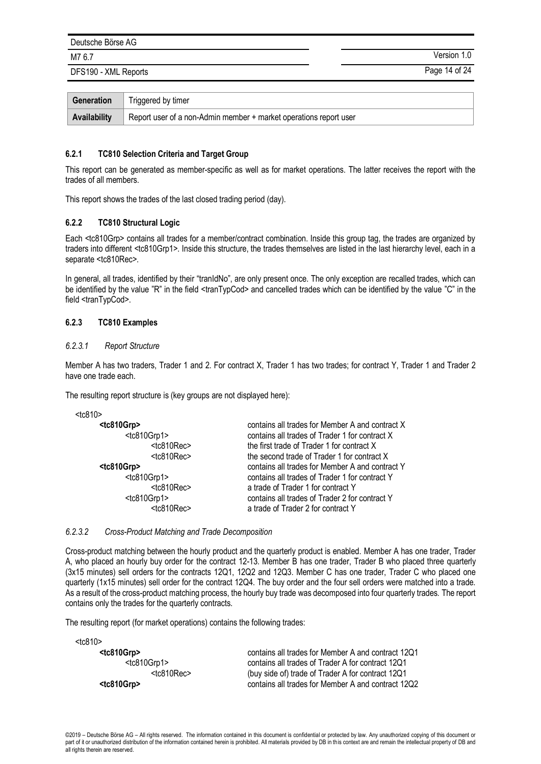DFS190 - XML Reports Page 14 of 24

M7 6.7 Version 1.0

| Generation   | Triggered by timer                                                |
|--------------|-------------------------------------------------------------------|
| Availability | Report user of a non-Admin member + market operations report user |

#### **6.2.1 TC810 Selection Criteria and Target Group**

This report can be generated as member-specific as well as for market operations. The latter receives the report with the trades of all members.

This report shows the trades of the last closed trading period (day).

#### **6.2.2 TC810 Structural Logic**

Each <tc810Grp> contains all trades for a member/contract combination. Inside this group tag, the trades are organized by traders into different <tc810Grp1>. Inside this structure, the trades themselves are listed in the last hierarchy level, each in a separate <tc810Rec>.

In general, all trades, identified by their "tranIdNo", are only present once. The only exception are recalled trades, which can be identified by the value "R" in the field <tranTypCod> and cancelled trades which can be identified by the value "C" in the field <tranTypCod>.

#### **6.2.3 TC810 Examples**

#### *6.2.3.1 Report Structure*

Member A has two traders, Trader 1 and 2. For contract X, Trader 1 has two trades; for contract Y, Trader 1 and Trader 2 have one trade each.

The resulting report structure is (key groups are not displayed here):

| $<$ tc $810$                                      |                                                                                                   |
|---------------------------------------------------|---------------------------------------------------------------------------------------------------|
| $<$ tc810Grp $>$<br><tc810grp1></tc810grp1>       | contains all trades for Member A and contract X<br>contains all trades of Trader 1 for contract X |
| $<$ tc810Rec $>$                                  | the first trade of Trader 1 for contract X                                                        |
| $<$ tc810Rec $>$                                  | the second trade of Trader 1 for contract X                                                       |
| $<$ tc810Grp $>$                                  | contains all trades for Member A and contract Y                                                   |
| <tc810grp1></tc810grp1>                           | contains all trades of Trader 1 for contract Y                                                    |
| $<$ tc810Rec $>$                                  | a trade of Trader 1 for contract Y                                                                |
| <tc810grp1><br/><tc810rec></tc810rec></tc810grp1> | contains all trades of Trader 2 for contract Y<br>a trade of Trader 2 for contract Y              |

#### *6.2.3.2 Cross-Product Matching and Trade Decomposition*

Cross-product matching between the hourly product and the quarterly product is enabled. Member A has one trader, Trader A, who placed an hourly buy order for the contract 12-13. Member B has one trader, Trader B who placed three quarterly (3x15 minutes) sell orders for the contracts 12Q1, 12Q2 and 12Q3. Member C has one trader, Trader C who placed one quarterly (1x15 minutes) sell order for the contract 12Q4. The buy order and the four sell orders were matched into a trade. As a result of the cross-product matching process, the hourly buy trade was decomposed into four quarterly trades. The report contains only the trades for the quarterly contracts.

The resulting report (for market operations) contains the following trades:

| $<$ tc810 $>$    |                                                    |
|------------------|----------------------------------------------------|
| $<$ tc810Grp $>$ | contains all trades for Member A and contract 12Q1 |
| $<$ tc810Grp1>   | contains all trades of Trader A for contract 12Q1  |
| $<$ tc810Rec $>$ | (buy side of) trade of Trader A for contract 12Q1  |
| $<$ tc810Grp $>$ | contains all trades for Member A and contract 12Q2 |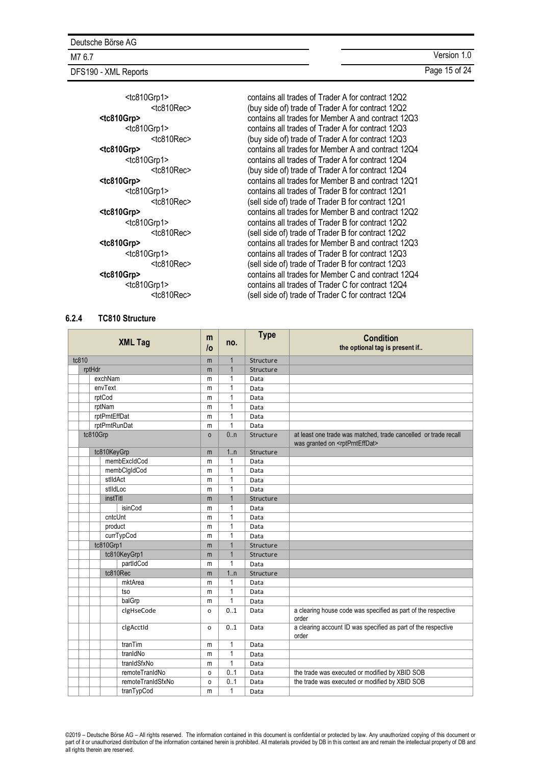DFS190 - XML Reports **Page 15 of 24** 

| <tc810grp1><br/><math>&lt;</math>tc810Rec<math>&gt;</math></tc810grp1> | contains all trades of Trader A for contract 12Q2<br>(buy side of) trade of Trader A for contract 12Q2 |
|------------------------------------------------------------------------|--------------------------------------------------------------------------------------------------------|
| <tc810grp></tc810grp>                                                  | contains all trades for Member A and contract 12Q3                                                     |
| <tc810grp1></tc810grp1>                                                | contains all trades of Trader A for contract 12Q3                                                      |
| $<$ tc810Rec $>$                                                       | (buy side of) trade of Trader A for contract 12Q3                                                      |
| <tc810grp></tc810grp>                                                  | contains all trades for Member A and contract 12Q4                                                     |
| <tc810grp1></tc810grp1>                                                | contains all trades of Trader A for contract 12Q4                                                      |
| $<$ tc810Rec $>$                                                       | (buy side of) trade of Trader A for contract 12Q4                                                      |
|                                                                        |                                                                                                        |
| <tc810grp></tc810grp>                                                  | contains all trades for Member B and contract 1201                                                     |
| <tc810grp1></tc810grp1>                                                | contains all trades of Trader B for contract 12Q1                                                      |
| $<$ tc810Rec $>$                                                       | (sell side of) trade of Trader B for contract 12Q1                                                     |
| <tc810grp></tc810grp>                                                  | contains all trades for Member B and contract 12Q2                                                     |
| <tc810grp1></tc810grp1>                                                | contains all trades of Trader B for contract 12Q2                                                      |
| $<$ tc810Rec $>$                                                       | (sell side of) trade of Trader B for contract 12Q2                                                     |
| <tc810grp></tc810grp>                                                  | contains all trades for Member B and contract 12Q3                                                     |
| <tc810grp1></tc810grp1>                                                | contains all trades of Trader B for contract 12Q3                                                      |
| $<$ tc810Rec $>$                                                       | (sell side of) trade of Trader B for contract 12Q3                                                     |
| <tc810grp></tc810grp>                                                  | contains all trades for Member C and contract 12Q4                                                     |
| <tc810grp1></tc810grp1>                                                | contains all trades of Trader C for contract 12Q4                                                      |
| $<$ tc810Rec $>$                                                       | (sell side of) trade of Trader C for contract 12Q4                                                     |
|                                                                        |                                                                                                        |

#### <span id="page-14-0"></span>**6.2.4 TC810 Structure**

| <b>XML Tag</b> |                   |              | no.            | <b>Type</b> | <b>Condition</b><br>the optional tag is present if                                                                |
|----------------|-------------------|--------------|----------------|-------------|-------------------------------------------------------------------------------------------------------------------|
| tc810          |                   | m            | $\mathbf{1}$   | Structure   |                                                                                                                   |
|                | rptHdr            | m            | $\mathbf{1}$   | Structure   |                                                                                                                   |
|                | exchNam           | m            | 1              | Data        |                                                                                                                   |
|                | envText           | m            | $\mathbf{1}$   | Data        |                                                                                                                   |
|                | rptCod            | m            | $\mathbf{1}$   | Data        |                                                                                                                   |
|                | rptNam            | m            | $\mathbf{1}$   | Data        |                                                                                                                   |
|                | rptPrntEffDat     | m            | $\mathbf{1}$   | Data        |                                                                                                                   |
|                | rptPrntRunDat     | m            | $\mathbf{1}$   | Data        |                                                                                                                   |
|                | tc810Grp          | $\mathsf{o}$ | 0.n            | Structure   | at least one trade was matched, trade cancelled or trade recall<br>was granted on <rptprnteffdat></rptprnteffdat> |
|                | tc810KeyGrp       | m            | 1.n            | Structure   |                                                                                                                   |
|                | membExcldCod      | m            | $\mathbf{1}$   | Data        |                                                                                                                   |
|                | membClgIdCod      | m            | $\mathbf{1}$   | Data        |                                                                                                                   |
|                | stlldAct          | m            | $\mathbf{1}$   | Data        |                                                                                                                   |
|                | stildLoc          | m            | $\mathbf{1}$   | Data        |                                                                                                                   |
|                | instTitl          | m            | $\overline{1}$ | Structure   |                                                                                                                   |
|                | isinCod           | m            | $\mathbf{1}$   | Data        |                                                                                                                   |
|                | cntcUnt           | m            | $\overline{1}$ | Data        |                                                                                                                   |
|                | product           | m            | $\mathbf{1}$   | Data        |                                                                                                                   |
|                | currTypCod        | m            | $\mathbf{1}$   | Data        |                                                                                                                   |
|                | tc810Grp1         | m            | $\mathbf{1}$   | Structure   |                                                                                                                   |
|                | tc810KeyGrp1      | m            | $\mathbf{1}$   | Structure   |                                                                                                                   |
|                | partIdCod         | m            | $\mathbf{1}$   | Data        |                                                                                                                   |
|                | tc810Rec          | m            | 1n             | Structure   |                                                                                                                   |
|                | mktArea           | m            | $\mathbf{1}$   | Data        |                                                                                                                   |
|                | tso               | m            | 1              | Data        |                                                                                                                   |
|                | balGrp            | m            | $\overline{1}$ | Data        |                                                                                                                   |
|                | clgHseCode        | o            | 0.1            | Data        | a clearing house code was specified as part of the respective<br>order                                            |
|                | clgAcctId         | o            | 0.1            | Data        | a clearing account ID was specified as part of the respective<br>order                                            |
|                | tranTim           | m            | $\mathbf{1}$   | Data        |                                                                                                                   |
|                | tranidNo          | m            | $\mathbf{1}$   | Data        |                                                                                                                   |
|                | tranIdSfxNo       | m            | $\mathbf{1}$   | Data        |                                                                                                                   |
|                | remoteTranIdNo    | 0            | 0.1            | Data        | the trade was executed or modified by XBID SOB                                                                    |
|                | remoteTranIdSfxNo | 0            | 0.1            | Data        | the trade was executed or modified by XBID SOB                                                                    |
|                | tranTypCod        | m            | $\mathbf{1}$   | Data        |                                                                                                                   |

©2019 – Deutsche Börse AG – All rights reserved. The information contained in this document is confidential or protected by law. Any unauthorized copying of this document or<br>part of it or unauthorized distribution of the i all rights therein are reserved.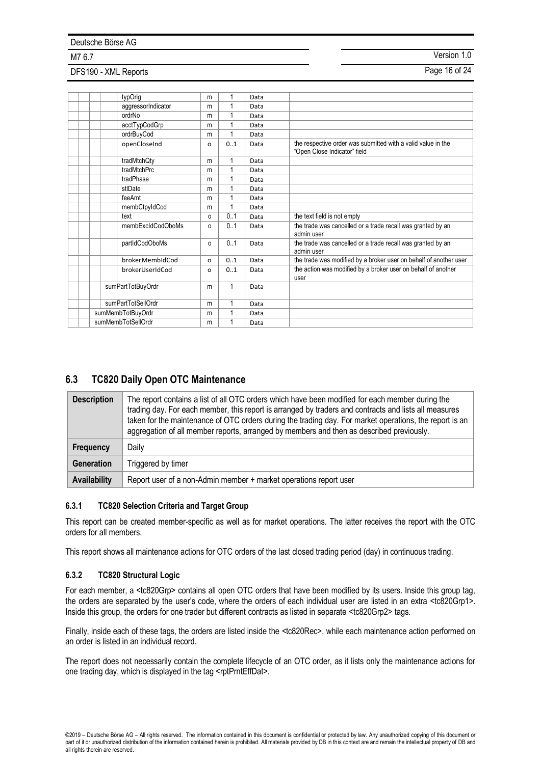# DFS190 - XML Reports **Page 16 of 24**

M7 6.7 Version 1.0

| typOrig            | m        |     | Data |                                                                                              |
|--------------------|----------|-----|------|----------------------------------------------------------------------------------------------|
| aggressorIndicator | m        | 1   | Data |                                                                                              |
| ordrNo             | m        | 1   | Data |                                                                                              |
| acctTypCodGrp      | m        | 1   | Data |                                                                                              |
| ordrBuyCod         | m        | 1   | Data |                                                                                              |
| openCloseInd       | $\circ$  | 01  | Data | the respective order was submitted with a valid value in the<br>"Open Close Indicator" field |
| tradMtchQty        | m        | 1   | Data |                                                                                              |
| tradMtchPrc        | m        | 1   | Data |                                                                                              |
| tradPhase          | m        | 1   | Data |                                                                                              |
| stlDate            | m        | 1   | Data |                                                                                              |
| feeAmt             | m        | 1   | Data |                                                                                              |
| membCtpyIdCod      | m        | 1   | Data |                                                                                              |
| text               | $\circ$  | 0.1 | Data | the text field is not empty                                                                  |
| membExcldCodOboMs  | $\Omega$ | 0.1 | Data | the trade was cancelled or a trade recall was granted by an<br>admin user                    |
| partIdCodOboMs     | $\Omega$ | 0.1 | Data | the trade was cancelled or a trade recall was granted by an<br>admin user                    |
| brokerMembIdCod    | o        | 0.1 | Data | the trade was modified by a broker user on behalf of another user                            |
| brokerUserIdCod    | o        | 0.1 | Data | the action was modified by a broker user on behalf of another<br>user                        |
| sumPartTotBuyOrdr  |          | 1   | Data |                                                                                              |
| sumPartTotSellOrdr |          | 1   | Data |                                                                                              |
| sumMembTotBuyOrdr  |          | 1   | Data |                                                                                              |
| sumMembTotSellOrdr |          | 1   | Data |                                                                                              |

## **6.3 TC820 Daily Open OTC Maintenance**

| <b>Description</b> | The report contains a list of all OTC orders which have been modified for each member during the<br>trading day. For each member, this report is arranged by traders and contracts and lists all measures<br>taken for the maintenance of OTC orders during the trading day. For market operations, the report is an<br>aggregation of all member reports, arranged by members and then as described previously. |
|--------------------|------------------------------------------------------------------------------------------------------------------------------------------------------------------------------------------------------------------------------------------------------------------------------------------------------------------------------------------------------------------------------------------------------------------|
| <b>Frequency</b>   | Daily                                                                                                                                                                                                                                                                                                                                                                                                            |
| Generation         | Triggered by timer                                                                                                                                                                                                                                                                                                                                                                                               |
| Availability       | Report user of a non-Admin member + market operations report user                                                                                                                                                                                                                                                                                                                                                |

### **6.3.1 TC820 Selection Criteria and Target Group**

This report can be created member-specific as well as for market operations. The latter receives the report with the OTC orders for all members.

This report shows all maintenance actions for OTC orders of the last closed trading period (day) in continuous trading.

#### **6.3.2 TC820 Structural Logic**

For each member, a <tc820Grp> contains all open OTC orders that have been modified by its users. Inside this group tag, the orders are separated by the user's code, where the orders of each individual user are listed in an extra <tc820Grp1>. Inside this group, the orders for one trader but different contracts as listed in separate <tc820Grp2> tags.

Finally, inside each of these tags, the orders are listed inside the <tc820Rec>, while each maintenance action performed on an order is listed in an individual record.

The report does not necessarily contain the complete lifecycle of an OTC order, as it lists only the maintenance actions for one trading day, which is displayed in the tag <rptPrntEffDat>.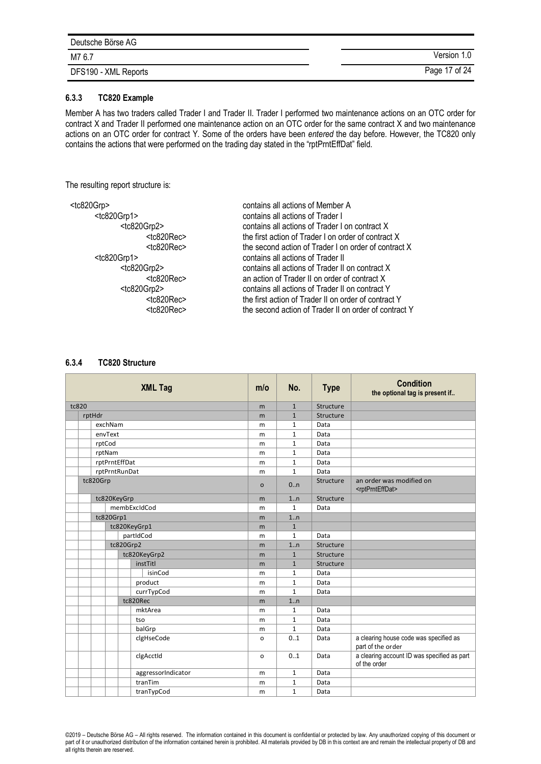| Deutsche Börse AG    |               |
|----------------------|---------------|
| M7 6.7               | Version 1.0   |
| DFS190 - XML Reports | Page 17 of 24 |

#### **6.3.3 TC820 Example**

Member A has two traders called Trader I and Trader II. Trader I performed two maintenance actions on an OTC order for contract X and Trader II performed one maintenance action on an OTC order for the same contract X and two maintenance actions on an OTC order for contract Y. Some of the orders have been *entered* the day before. However, the TC820 only contains the actions that were performed on the trading day stated in the "rptPrntEffDat" field.

The resulting report structure is:

<tc820Grp> contains all actions of Member A <tc820Grp1> contains all actions of Trader I <tc820Grp2> contains all actions of Trader I on contract X <tc820Rec> the first action of Trader I on order of contract X <tc820Rec> the second action of Trader I on order of contract X <tc820Grp1> contains all actions of Trader II contains all actions of Trader II on contract X <tc820Rec><br>
<tc820Gm2> an action of Trader II on order of contract Y<br>
contains all actions of Trader II on contract Y contains all actions of Trader II on contract Y <tc820Rec> the first action of Trader II on order of contract Y the second action of Trader II on order of contract Y

#### <span id="page-16-0"></span>**6.3.4 TC820 Structure**

|       | <b>XML Tag</b>                                                                                                                                                                                                                                       |  |   | m/o                | No.          | <b>Type</b>  | <b>Condition</b><br>the optional tag is present if |                                                             |
|-------|------------------------------------------------------------------------------------------------------------------------------------------------------------------------------------------------------------------------------------------------------|--|---|--------------------|--------------|--------------|----------------------------------------------------|-------------------------------------------------------------|
| tc820 |                                                                                                                                                                                                                                                      |  | m | $\mathbf{1}$       | Structure    |              |                                                    |                                                             |
|       |                                                                                                                                                                                                                                                      |  |   |                    | m            | $\mathbf{1}$ | Structure                                          |                                                             |
|       | rptHdr<br>exchNam<br>envText<br>rptCod<br>rptNam<br>rptPrntEffDat<br>rptPrntRunDat<br>tc820Grp<br>tc820KeyGrp<br>membExcldCod<br>tc820Grp1<br>tc820KeyGrp1<br>partIdCod<br>tc820Grp2<br>tc820KeyGrp2<br>instTitl<br>isinCod<br>product<br>currTypCod |  |   |                    | m            | $\mathbf{1}$ | Data                                               |                                                             |
|       |                                                                                                                                                                                                                                                      |  |   |                    | m            | $\mathbf{1}$ | Data                                               |                                                             |
|       |                                                                                                                                                                                                                                                      |  |   | m                  | $\mathbf{1}$ | Data         |                                                    |                                                             |
|       |                                                                                                                                                                                                                                                      |  |   |                    | m            | $\mathbf{1}$ | Data                                               |                                                             |
|       |                                                                                                                                                                                                                                                      |  |   |                    | m            | $\mathbf{1}$ | Data                                               |                                                             |
|       |                                                                                                                                                                                                                                                      |  |   |                    | m            | $\mathbf{1}$ | Data                                               |                                                             |
|       |                                                                                                                                                                                                                                                      |  |   |                    | $\circ$      | 0.n          | Structure                                          | an order was modified on<br><rptprnteffdat></rptprnteffdat> |
|       |                                                                                                                                                                                                                                                      |  |   |                    | m            | 1n           | Structure                                          |                                                             |
|       |                                                                                                                                                                                                                                                      |  |   |                    | m            | $\mathbf{1}$ | Data                                               |                                                             |
|       |                                                                                                                                                                                                                                                      |  | m | 1n                 |              |              |                                                    |                                                             |
|       |                                                                                                                                                                                                                                                      |  |   |                    | m            | $\mathbf{1}$ |                                                    |                                                             |
|       |                                                                                                                                                                                                                                                      |  |   |                    | m            | $\mathbf{1}$ | Data                                               |                                                             |
|       |                                                                                                                                                                                                                                                      |  |   | m                  | 1n           | Structure    |                                                    |                                                             |
|       |                                                                                                                                                                                                                                                      |  |   |                    | m            | $\mathbf{1}$ | Structure                                          |                                                             |
|       |                                                                                                                                                                                                                                                      |  |   |                    | m            | $\mathbf{1}$ | Structure                                          |                                                             |
|       |                                                                                                                                                                                                                                                      |  |   |                    | m            | $\mathbf{1}$ | Data                                               |                                                             |
|       |                                                                                                                                                                                                                                                      |  |   |                    | m            | $\mathbf{1}$ | Data                                               |                                                             |
|       |                                                                                                                                                                                                                                                      |  |   |                    | m            | $\mathbf{1}$ | Data                                               |                                                             |
|       |                                                                                                                                                                                                                                                      |  |   | tc820Rec           | m            | 1n           |                                                    |                                                             |
|       |                                                                                                                                                                                                                                                      |  |   | mktArea            | m            | $\mathbf{1}$ | Data                                               |                                                             |
|       |                                                                                                                                                                                                                                                      |  |   | tso                | m            | $\mathbf{1}$ | Data                                               |                                                             |
|       |                                                                                                                                                                                                                                                      |  |   | balGrp             | m            | $\mathbf{1}$ | Data                                               |                                                             |
|       |                                                                                                                                                                                                                                                      |  |   | clgHseCode         | $\circ$      | 0.1          | Data                                               | a clearing house code was specified as<br>part of the order |
|       |                                                                                                                                                                                                                                                      |  |   | clgAcctId          | $\Omega$     | 0.1          | Data                                               | a clearing account ID was specified as part<br>of the order |
|       |                                                                                                                                                                                                                                                      |  |   | aggressorIndicator | m            | $\mathbf{1}$ | Data                                               |                                                             |
|       |                                                                                                                                                                                                                                                      |  |   | tranTim            | m            | $\mathbf{1}$ | Data                                               |                                                             |
|       |                                                                                                                                                                                                                                                      |  |   | tranTypCod         | m            | $\mathbf{1}$ | Data                                               |                                                             |

©2019 – Deutsche Börse AG – All rights reserved. The information contained in this document is confidential or protected by law. Any unauthorized copying of this document or part of it or unauthorized distribution of the information contained herein is prohibited. All materials provided by DB in this context are and remain the intellectual property of DB and all rights therein are reserved.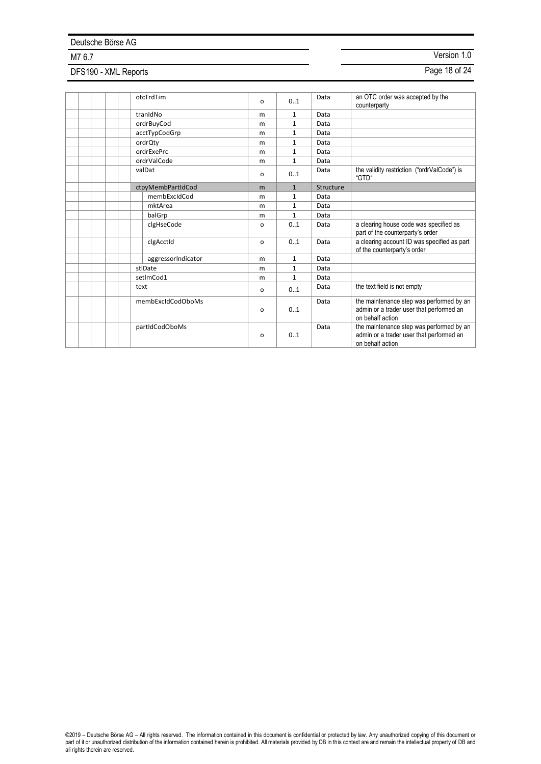# DFS190 - XML Reports **Page 18 of 24**

|  | otcTrdTim          | $\Omega$ | 0.1          | Data      | an OTC order was accepted by the<br>counterparty                                                         |
|--|--------------------|----------|--------------|-----------|----------------------------------------------------------------------------------------------------------|
|  | tranidNo           | m        | $\mathbf{1}$ | Data      |                                                                                                          |
|  | ordrBuyCod         | m        | $\mathbf{1}$ | Data      |                                                                                                          |
|  | acctTypCodGrp      | m        | $\mathbf{1}$ | Data      |                                                                                                          |
|  | ordrQty            | m        | $\mathbf{1}$ | Data      |                                                                                                          |
|  | ordrExePrc         | m        | $\mathbf{1}$ | Data      |                                                                                                          |
|  | ordrValCode        | m        | $\mathbf{1}$ | Data      |                                                                                                          |
|  | valDat             | $\Omega$ | 0.1          | Data      | the validity restriction ("ordrValCode") is<br>"GTD"                                                     |
|  | ctpyMembPartIdCod  | m        | $\mathbf{1}$ | Structure |                                                                                                          |
|  | membExcIdCod       | m        | $\mathbf{1}$ | Data      |                                                                                                          |
|  | mktArea            | m        | $\mathbf{1}$ | Data      |                                                                                                          |
|  | balGrp             | m        | $\mathbf{1}$ | Data      |                                                                                                          |
|  | clgHseCode         | $\Omega$ | 0.1          | Data      | a clearing house code was specified as<br>part of the counterparty's order                               |
|  | clgAcctld          | $\Omega$ | 0.1          | Data      | a clearing account ID was specified as part<br>of the counterparty's order                               |
|  | aggressorIndicator | m        | $\mathbf{1}$ | Data      |                                                                                                          |
|  | stlDate            | m        | $\mathbf{1}$ | Data      |                                                                                                          |
|  | setImCod1          | m        | $\mathbf{1}$ | Data      |                                                                                                          |
|  | text               | o        | 01           | Data      | the text field is not empty                                                                              |
|  | membExcldCodOboMs  | $\Omega$ | 01           | Data      | the maintenance step was performed by an<br>admin or a trader user that performed an<br>on behalf action |
|  | partIdCodOboMs     | o        | 0.1          | Data      | the maintenance step was performed by an<br>admin or a trader user that performed an<br>on behalf action |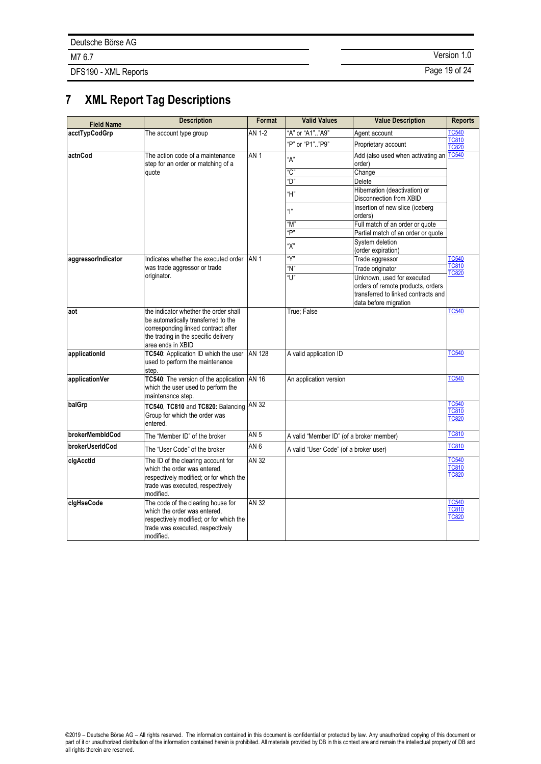DFS190 - XML Reports **Page 19 of 24** 

M7 6.7 Version 1.0

# **7 XML Report Tag Descriptions**

| <b>Field Name</b>  | <b>Description</b>                                                                                                                                                               | Format          | <b>Valid Values</b>                      | <b>Value Description</b>                                                                                                        | <b>Reports</b>                               |
|--------------------|----------------------------------------------------------------------------------------------------------------------------------------------------------------------------------|-----------------|------------------------------------------|---------------------------------------------------------------------------------------------------------------------------------|----------------------------------------------|
| acctTypCodGrp      | The account type group                                                                                                                                                           | AN 1-2          | "A" or "A1""A9"                          | Agent account                                                                                                                   | <b>TC540</b>                                 |
|                    |                                                                                                                                                                                  |                 | "P" or "P1"  "P9"                        | Proprietary account                                                                                                             | TC810<br><b>TC820</b>                        |
| actnCod            | The action code of a maintenance<br>step for an order or matching of a                                                                                                           | AN <sub>1</sub> | "A"                                      | Add (also used when activating an<br>order)                                                                                     | TC540                                        |
|                    | quote                                                                                                                                                                            |                 | "C"                                      | Change                                                                                                                          |                                              |
|                    |                                                                                                                                                                                  |                 | "D"                                      | Delete                                                                                                                          |                                              |
|                    |                                                                                                                                                                                  |                 | "H"                                      | Hibernation (deactivation) or<br>Disconnection from XBID                                                                        |                                              |
|                    |                                                                                                                                                                                  |                 | " "                                      | Insertion of new slice (iceberg<br>orders)                                                                                      |                                              |
|                    |                                                                                                                                                                                  |                 | "M"                                      | Full match of an order or quote                                                                                                 |                                              |
|                    |                                                                                                                                                                                  |                 | "P"                                      | Partial match of an order or quote                                                                                              |                                              |
|                    |                                                                                                                                                                                  |                 | "Х"                                      | System deletion<br>(order expiration)                                                                                           |                                              |
| aggressorIndicator | Indicates whether the executed order                                                                                                                                             | AN <sub>1</sub> | "Y"                                      | Trade aggressor                                                                                                                 | <b>TC540</b>                                 |
|                    | was trade aggressor or trade                                                                                                                                                     |                 | "N"                                      | Trade originator                                                                                                                | <b>TC810</b>                                 |
|                    | originator.                                                                                                                                                                      |                 | "l l"                                    | Unknown, used for executed<br>orders of remote products, orders<br>transferred to linked contracts and<br>data before migration | <b>TC820</b>                                 |
| aot                | the indicator whether the order shall<br>be automatically transferred to the<br>corresponding linked contract after<br>the trading in the specific delivery<br>area ends in XBID |                 | True; False                              |                                                                                                                                 | <b>TC540</b>                                 |
| applicationId      | TC540: Application ID which the user<br>used to perform the maintenance<br>step.                                                                                                 | <b>AN 128</b>   | A valid application ID                   |                                                                                                                                 | <b>TC540</b>                                 |
| applicationVer     | TC540: The version of the application<br>which the user used to perform the<br>maintenance step.                                                                                 | <b>AN 16</b>    | An application version                   |                                                                                                                                 | <b>TC540</b>                                 |
| balGrp             | TC540, TC810 and TC820: Balancing<br>Group for which the order was<br>entered.                                                                                                   | <b>AN 32</b>    |                                          |                                                                                                                                 | <b>TC540</b><br><b>TC810</b><br><b>TC820</b> |
| brokerMembldCod    | The "Member ID" of the broker                                                                                                                                                    | AN 5            | A valid "Member ID" (of a broker member) |                                                                                                                                 | TC810                                        |
| brokerUserIdCod    | The "User Code" of the broker                                                                                                                                                    | AN <sub>6</sub> | A valid "User Code" (of a broker user)   |                                                                                                                                 | <b>TC810</b>                                 |
| clgAcctld          | The ID of the clearing account for<br>which the order was entered,<br>respectively modified; or for which the<br>trade was executed, respectively<br>modified.                   | AN 32           |                                          |                                                                                                                                 | <b>TC540</b><br>TC810<br><b>TC820</b>        |
| cigHseCode         | The code of the clearing house for<br>which the order was entered.<br>respectively modified; or for which the<br>trade was executed, respectively<br>modified.                   | AN 32           |                                          |                                                                                                                                 | <b>TC540</b><br><b>TC810</b><br><b>TC820</b> |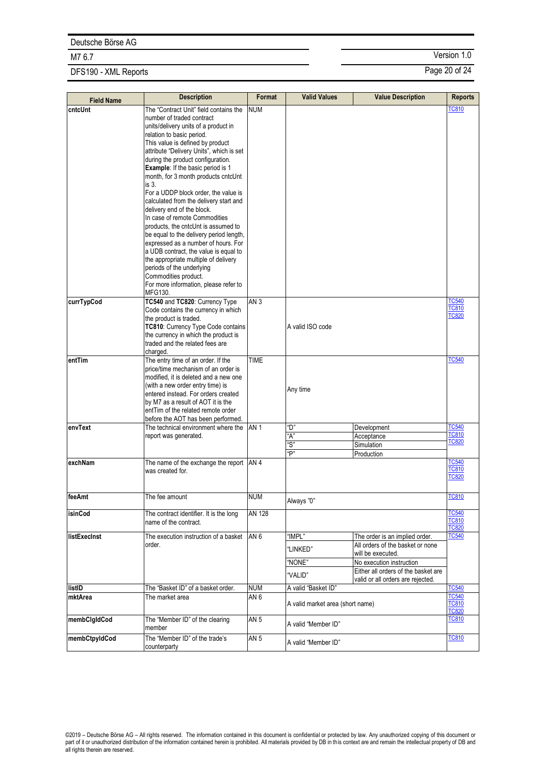# DFS190 - XML Reports **Page 20 of 24**

| <b>Field Name</b> | <b>Description</b>                                                             | Format          | <b>Valid Values</b>              | <b>Value Description</b>                      | <b>Reports</b>               |
|-------------------|--------------------------------------------------------------------------------|-----------------|----------------------------------|-----------------------------------------------|------------------------------|
| cntcUnt           | The "Contract Unit" field contains the                                         | <b>NUM</b>      |                                  |                                               | TC810                        |
|                   | number of traded contract                                                      |                 |                                  |                                               |                              |
|                   | units/delivery units of a product in                                           |                 |                                  |                                               |                              |
|                   | relation to basic period.                                                      |                 |                                  |                                               |                              |
|                   | This value is defined by product<br>attribute "Delivery Units", which is set   |                 |                                  |                                               |                              |
|                   | during the product configuration.                                              |                 |                                  |                                               |                              |
|                   | <b>Example:</b> If the basic period is 1                                       |                 |                                  |                                               |                              |
|                   | month, for 3 month products cntcUnt                                            |                 |                                  |                                               |                              |
|                   | is 3.                                                                          |                 |                                  |                                               |                              |
|                   | For a UDDP block order, the value is<br>calculated from the delivery start and |                 |                                  |                                               |                              |
|                   | delivery end of the block.                                                     |                 |                                  |                                               |                              |
|                   | In case of remote Commodities                                                  |                 |                                  |                                               |                              |
|                   | products, the cntcUnt is assumed to                                            |                 |                                  |                                               |                              |
|                   | be equal to the delivery period length,<br>expressed as a number of hours. For |                 |                                  |                                               |                              |
|                   | a UDB contract, the value is equal to                                          |                 |                                  |                                               |                              |
|                   | the appropriate multiple of delivery                                           |                 |                                  |                                               |                              |
|                   | periods of the underlying                                                      |                 |                                  |                                               |                              |
|                   | Commodities product.                                                           |                 |                                  |                                               |                              |
|                   | For more information, please refer to<br>MFG130.                               |                 |                                  |                                               |                              |
| currTypCod        | TC540 and TC820: Currency Type                                                 | AN <sub>3</sub> |                                  |                                               | <b>TC540</b>                 |
|                   | Code contains the currency in which                                            |                 |                                  |                                               | <b>TC810</b>                 |
|                   | the product is traded.                                                         |                 |                                  |                                               | <b>TC820</b>                 |
|                   | TC810: Currency Type Code contains<br>the currency in which the product is     |                 | A valid ISO code                 |                                               |                              |
|                   | traded and the related fees are                                                |                 |                                  |                                               |                              |
|                   | charged.                                                                       |                 |                                  |                                               |                              |
| entTim            | The entry time of an order. If the                                             | <b>TIME</b>     |                                  |                                               | <b>TC540</b>                 |
|                   | price/time mechanism of an order is                                            |                 |                                  |                                               |                              |
|                   | modified, it is deleted and a new one<br>(with a new order entry time) is      |                 |                                  |                                               |                              |
|                   | entered instead. For orders created                                            |                 | Any time                         |                                               |                              |
|                   | by M7 as a result of AOT it is the                                             |                 |                                  |                                               |                              |
|                   | entTim of the related remote order                                             |                 |                                  |                                               |                              |
| envText           | before the AOT has been performed.<br>The technical environment where the      | AN <sub>1</sub> | "D"                              | Development                                   | <b>TC540</b>                 |
|                   | report was generated.                                                          |                 | "A"                              | Acceptance                                    | TC810                        |
|                   |                                                                                |                 | "S"                              | Simulation                                    | TC820                        |
|                   |                                                                                |                 | "P"                              | Production                                    |                              |
| exchNam           | The name of the exchange the report AN 4                                       |                 |                                  |                                               | <b>TC540</b>                 |
|                   | was created for.                                                               |                 |                                  |                                               | <b>TC810</b><br><b>TC820</b> |
|                   |                                                                                |                 |                                  |                                               |                              |
| feeAmt            | The fee amount                                                                 | NUM             |                                  |                                               | <b>TC810</b>                 |
|                   |                                                                                |                 | Always "0"                       |                                               |                              |
| isinCod           | The contract identifier. It is the long                                        | <b>AN 128</b>   |                                  |                                               | <b>TC540</b><br><b>TC810</b> |
|                   | name of the contract.                                                          |                 |                                  |                                               | <b>TC820</b>                 |
| listExecInst      | The execution instruction of a basket                                          | AN <sub>6</sub> | "IMPL"                           | The order is an implied order.                | <b>TC540</b>                 |
|                   | order.                                                                         |                 | "LINKED"                         | All orders of the basket or none              |                              |
|                   |                                                                                |                 | "NONE"                           | will be executed.<br>No execution instruction |                              |
|                   |                                                                                |                 |                                  | Either all orders of the basket are           |                              |
|                   |                                                                                |                 | "VALID"                          | valid or all orders are rejected.             |                              |
| listID            | The "Basket ID" of a basket order.                                             | <b>NUM</b>      | A valid "Basket ID"              |                                               | <b>TC540</b>                 |
| mktArea           | The market area                                                                | AN <sub>6</sub> | A valid market area (short name) |                                               | <b>TC540</b><br><b>TC810</b> |
|                   |                                                                                |                 |                                  |                                               | <b>TC820</b>                 |
| membClgIdCod      | The "Member ID" of the clearing                                                | AN <sub>5</sub> | A valid "Member ID"              |                                               | <b>TC810</b>                 |
|                   | member                                                                         |                 |                                  |                                               |                              |
| membCtpyIdCod     | The "Member ID" of the trade's<br>counterparty                                 | AN <sub>5</sub> | A valid "Member ID"              |                                               | <b>TC810</b>                 |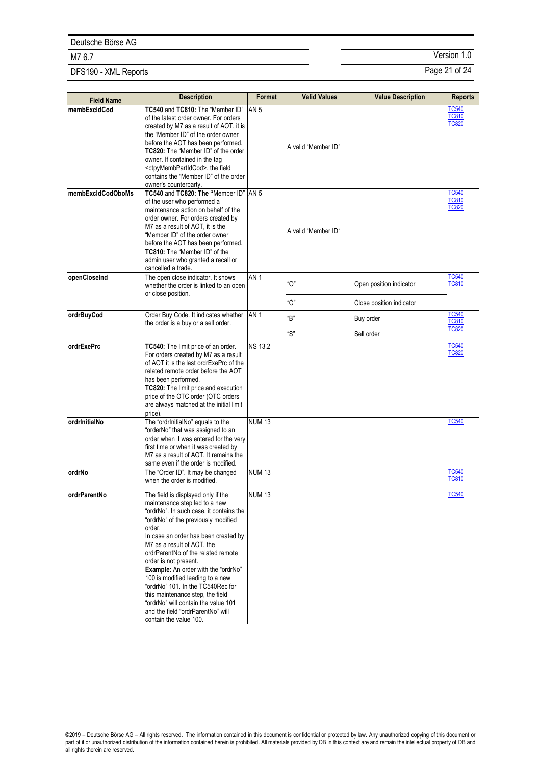# DFS190 - XML Reports **Page 21 of 24**

| <b>Field Name</b> | <b>Description</b>                                                                                                                                                                                                                                                                                                                                                                                                                                                                                                                                                    | Format          | <b>Valid Values</b> | <b>Value Description</b>                            | <b>Reports</b>                               |
|-------------------|-----------------------------------------------------------------------------------------------------------------------------------------------------------------------------------------------------------------------------------------------------------------------------------------------------------------------------------------------------------------------------------------------------------------------------------------------------------------------------------------------------------------------------------------------------------------------|-----------------|---------------------|-----------------------------------------------------|----------------------------------------------|
| membExcldCod      | TC540 and TC810: The "Member ID"<br>of the latest order owner. For orders<br>created by M7 as a result of AOT, it is<br>the "Member ID" of the order owner<br>before the AOT has been performed.<br>TC820: The "Member ID" of the order<br>owner. If contained in the tag<br><ctpymembpartidcod>, the field<br/>contains the "Member ID" of the order<br/>owner's counterparty.</ctpymembpartidcod>                                                                                                                                                                   | <b>AN 5</b>     | A valid "Member ID" |                                                     | <b>TC540</b><br><b>TC810</b><br><b>TC820</b> |
| membExcldCodOboMs | TC540 and TC820: The "Member ID"<br>of the user who performed a<br>maintenance action on behalf of the<br>order owner. For orders created by<br>M7 as a result of AOT, it is the<br>"Member ID" of the order owner<br>before the AOT has been performed.<br>TC810: The "Member ID" of the<br>admin user who granted a recall or<br>cancelled a trade.                                                                                                                                                                                                                 | <b>AN 5</b>     | A valid "Member ID" |                                                     | <b>TC540</b><br><b>TC810</b><br><b>TC820</b> |
| openCloseInd      | The open close indicator. It shows<br>whether the order is linked to an open<br>or close position.                                                                                                                                                                                                                                                                                                                                                                                                                                                                    | AN <sub>1</sub> | "О"<br>"C"          | Open position indicator<br>Close position indicator | <b>TC540</b><br><b>TC810</b>                 |
| ordrBuyCod        | Order Buy Code. It indicates whether   AN 1<br>the order is a buy or a sell order.                                                                                                                                                                                                                                                                                                                                                                                                                                                                                    |                 | "B"<br>"S"          | Buy order<br>Sell order                             | <b>TC540</b><br><b>TC810</b><br><b>TC820</b> |
| ordrExePrc        | TC540: The limit price of an order.<br>For orders created by M7 as a result<br>of AOT it is the last ordrExePrc of the<br>related remote order before the AOT<br>has been performed.<br>TC820: The limit price and execution<br>price of the OTC order (OTC orders<br>are always matched at the initial limit<br>price).                                                                                                                                                                                                                                              | <b>NS 13,2</b>  |                     |                                                     | <b>TC540</b><br><b>TC820</b>                 |
| ordrinitialNo     | The "ordrInitialNo" equals to the<br>"orderNo" that was assigned to an<br>order when it was entered for the very<br>first time or when it was created by<br>M7 as a result of AOT. It remains the<br>same even if the order is modified.                                                                                                                                                                                                                                                                                                                              | <b>NUM 13</b>   |                     |                                                     | <b>TC540</b>                                 |
| ordrNo            | The "Order ID". It may be changed<br>when the order is modified.                                                                                                                                                                                                                                                                                                                                                                                                                                                                                                      | <b>NUM13</b>    |                     |                                                     | <b>TC540</b><br><b>TC810</b>                 |
| ordrParentNo      | The field is displayed only if the<br>maintenance step led to a new<br>"ordrNo". In such case, it contains the<br>"ordrNo" of the previously modified<br>order.<br>In case an order has been created by<br>M7 as a result of AOT, the<br>ordrParentNo of the related remote<br>order is not present.<br><b>Example:</b> An order with the "ordrNo"<br>100 is modified leading to a new<br>"ordrNo" 101. In the TC540Rec for<br>this maintenance step, the field<br>"ordrNo" will contain the value 101<br>and the field "ordrParentNo" will<br>contain the value 100. | <b>NUM13</b>    |                     |                                                     | TC540                                        |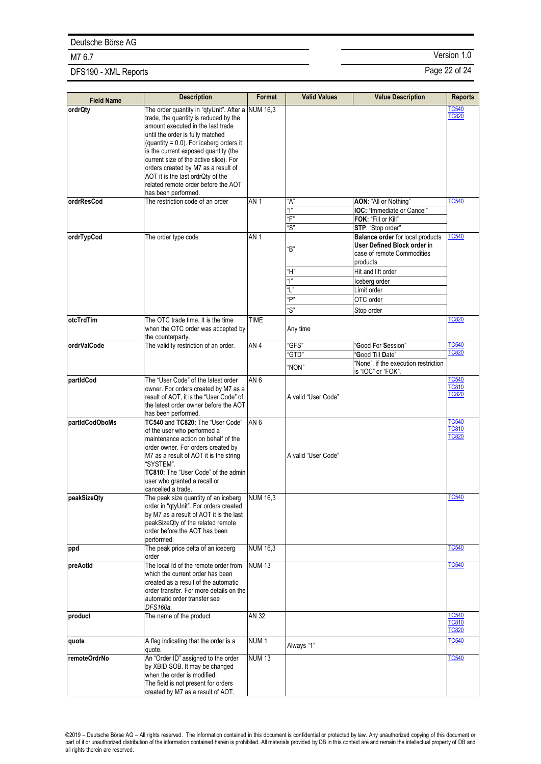# DFS190 - XML Reports **Page 22 of 24**

| <b>Field Name</b> | <b>Description</b>                                                                 | Format           | <b>Valid Values</b> | <b>Value Description</b>                 | <b>Reports</b>               |
|-------------------|------------------------------------------------------------------------------------|------------------|---------------------|------------------------------------------|------------------------------|
| ordrQty           | The order quantity in "qtyUnit". After a NUM 16,3                                  |                  |                     |                                          | <b>TC540</b><br><b>TC820</b> |
|                   | trade, the quantity is reduced by the<br>amount executed in the last trade         |                  |                     |                                          |                              |
|                   | until the order is fully matched                                                   |                  |                     |                                          |                              |
|                   | (quantity = $0.0$ ). For iceberg orders it<br>is the current exposed quantity (the |                  |                     |                                          |                              |
|                   | current size of the active slice). For                                             |                  |                     |                                          |                              |
|                   | orders created by M7 as a result of                                                |                  |                     |                                          |                              |
|                   | AOT it is the last ordrQty of the<br>related remote order before the AOT           |                  |                     |                                          |                              |
|                   | has been performed.                                                                |                  |                     |                                          |                              |
| ordrResCod        | The restriction code of an order                                                   | AN <sub>1</sub>  | "A"                 | AON: "All or Nothing"                    | <b>TC540</b>                 |
|                   |                                                                                    |                  | " "                 | <b>IOC:</b> "Immediate or Cancel"        |                              |
|                   |                                                                                    |                  | "F"<br>"S"          | FOK: "Fill or Kill"<br>STP: "Stop order" |                              |
| ordrTypCod        | The order type code                                                                | AN <sub>1</sub>  |                     | <b>Balance order for local products</b>  | <b>TC540</b>                 |
|                   |                                                                                    |                  | "B"                 | User Defined Block order in              |                              |
|                   |                                                                                    |                  |                     | case of remote Commodities               |                              |
|                   |                                                                                    |                  | "Η"                 | products<br>Hit and lift order           |                              |
|                   |                                                                                    |                  | " "                 | Iceberg order                            |                              |
|                   |                                                                                    |                  | "L"                 | Limit order                              |                              |
|                   |                                                                                    |                  | "P"                 | OTC order                                |                              |
|                   |                                                                                    |                  | "S"                 | Stop order                               |                              |
| otcTrdTim         | The OTC trade time. It is the time                                                 | <b>TIME</b>      |                     |                                          | <b>TC820</b>                 |
|                   | when the OTC order was accepted by<br>the counterparty.                            |                  | Any time            |                                          |                              |
| ordrValCode       | The validity restriction of an order.                                              | AN <sub>4</sub>  | 'GFS"               | "Good For Session"                       | <b>TC540</b>                 |
|                   |                                                                                    |                  | "GTD"               | 'Good Till Date"                         | <b>TC820</b>                 |
|                   |                                                                                    |                  | "NON"               | "None", if the execution restriction     |                              |
| partIdCod         | The "User Code" of the latest order                                                | AN <sub>6</sub>  |                     | is "IOC" or "FOK".                       | <b>TC540</b>                 |
|                   | owner. For orders created by M7 as a                                               |                  |                     |                                          | <b>TC810</b>                 |
|                   | result of AOT, it is the "User Code" of                                            |                  | A valid "User Code" |                                          | <b>TC820</b>                 |
|                   | the latest order owner before the AOT<br>has been performed.                       |                  |                     |                                          |                              |
| partIdCodOboMs    | TC540 and TC820: The "User Code"                                                   | AN <sub>6</sub>  |                     |                                          | <b>TC540</b>                 |
|                   | of the user who performed a                                                        |                  |                     |                                          | <b>TC810</b><br><b>TC820</b> |
|                   | maintenance action on behalf of the<br>order owner. For orders created by          |                  |                     |                                          |                              |
|                   | M7 as a result of AOT it is the string                                             |                  | A valid "User Code" |                                          |                              |
|                   | "SYSTEM".                                                                          |                  |                     |                                          |                              |
|                   | TC810: The "User Code" of the admin<br>user who granted a recall or                |                  |                     |                                          |                              |
|                   | cancelled a trade.                                                                 |                  |                     |                                          |                              |
| peakSizeQty       | The peak size quantity of an iceberg                                               | NUM 16,3         |                     |                                          | <b>TC540</b>                 |
|                   | order in "qtyUnit". For orders created<br>by M7 as a result of AOT it is the last  |                  |                     |                                          |                              |
|                   | peakSizeQty of the related remote                                                  |                  |                     |                                          |                              |
|                   | order before the AOT has been                                                      |                  |                     |                                          |                              |
| ppd               | performed.<br>The peak price delta of an iceberg                                   | <b>NUM 16,3</b>  |                     |                                          | <b>TC540</b>                 |
|                   | order                                                                              |                  |                     |                                          |                              |
| preAotId          | The local Id of the remote order from                                              | <b>NUM 13</b>    |                     |                                          | <b>TC540</b>                 |
|                   | which the current order has been<br>created as a result of the automatic           |                  |                     |                                          |                              |
|                   | order transfer. For more details on the                                            |                  |                     |                                          |                              |
|                   | automatic order transfer see                                                       |                  |                     |                                          |                              |
| product           | DFS160a.<br>The name of the product                                                | <b>AN 32</b>     |                     |                                          | <b>TC540</b>                 |
|                   |                                                                                    |                  |                     |                                          | <b>TC810</b>                 |
|                   |                                                                                    |                  |                     |                                          | <b>TC820</b>                 |
| quote             | A flag indicating that the order is a                                              | NUM <sub>1</sub> | Always "1"          |                                          | <b>TC540</b>                 |
| remoteOrdrNo      | quote.<br>An "Order ID" assigned to the order                                      | <b>NUM13</b>     |                     |                                          | <b>TC540</b>                 |
|                   | by XBID SOB. It may be changed                                                     |                  |                     |                                          |                              |
|                   | when the order is modified.<br>The field is not present for orders                 |                  |                     |                                          |                              |
|                   | created by M7 as a result of AOT.                                                  |                  |                     |                                          |                              |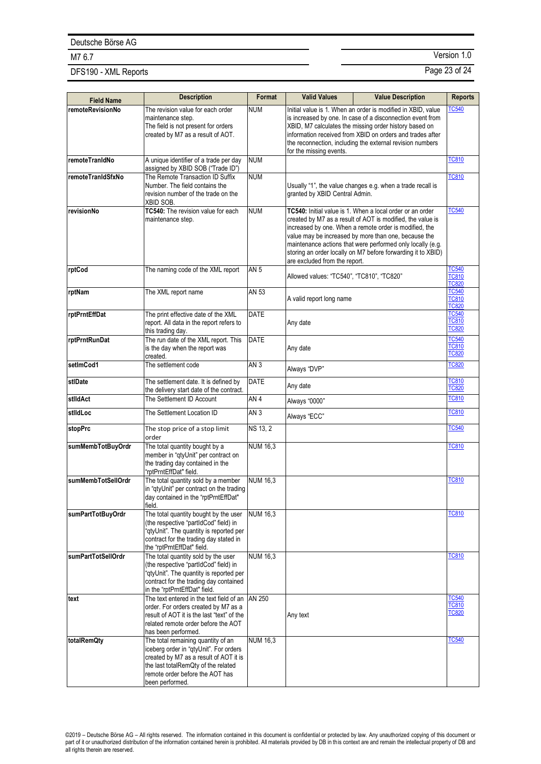# DFS190 - XML Reports **Page 23 of 24**

| <b>Field Name</b>    | <b>Description</b>                                                                                                                                                                                                  | Format          | <b>Valid Values</b>                                                                                                                                                                                                                                                                                                                                                                                      | <b>Value Description</b>                                                                                                                                                                                                                                                                                       | <b>Reports</b>                               |
|----------------------|---------------------------------------------------------------------------------------------------------------------------------------------------------------------------------------------------------------------|-----------------|----------------------------------------------------------------------------------------------------------------------------------------------------------------------------------------------------------------------------------------------------------------------------------------------------------------------------------------------------------------------------------------------------------|----------------------------------------------------------------------------------------------------------------------------------------------------------------------------------------------------------------------------------------------------------------------------------------------------------------|----------------------------------------------|
| remoteRevisionNo     | The revision value for each order<br>maintenance step.<br>The field is not present for orders<br>created by M7 as a result of AOT.                                                                                  | <b>NUM</b>      | for the missing events.                                                                                                                                                                                                                                                                                                                                                                                  | Initial value is 1. When an order is modified in XBID, value<br>is increased by one. In case of a disconnection event from<br>XBID, M7 calculates the missing order history based on<br>information received from XBID on orders and trades after<br>the reconnection, including the external revision numbers | <b>TC540</b>                                 |
| remoteTranIdNo       | A unique identifier of a trade per day<br>assigned by XBID SOB ("Trade ID")                                                                                                                                         | <b>NUM</b>      |                                                                                                                                                                                                                                                                                                                                                                                                          |                                                                                                                                                                                                                                                                                                                | <b>TC810</b>                                 |
| remoteTranIdSfxNo    | The Remote Transaction ID Suffix<br>Number. The field contains the<br>revision number of the trade on the<br>XBID SOB.                                                                                              | <b>NUM</b>      | Usually "1", the value changes e.g. when a trade recall is<br>granted by XBID Central Admin.                                                                                                                                                                                                                                                                                                             |                                                                                                                                                                                                                                                                                                                | <b>TC810</b>                                 |
| revisionNo           | TC540: The revision value for each<br>maintenance step.                                                                                                                                                             | <b>NUM</b>      | TC540: Initial value is 1. When a local order or an order<br>created by M7 as a result of AOT is modified, the value is<br>increased by one. When a remote order is modified, the<br>value may be increased by more than one, because the<br>maintenance actions that were performed only locally (e.g.<br>storing an order locally on M7 before forwarding it to XBID)<br>are excluded from the report. |                                                                                                                                                                                                                                                                                                                | <b>TC540</b>                                 |
| rptCod               | The naming code of the XML report                                                                                                                                                                                   | <b>AN 5</b>     | Allowed values: "TC540", "TC810", "TC820"                                                                                                                                                                                                                                                                                                                                                                |                                                                                                                                                                                                                                                                                                                | <b>TC540</b><br><b>TC810</b><br><b>TC820</b> |
| rptNam               | The XML report name                                                                                                                                                                                                 | AN 53           | A valid report long name                                                                                                                                                                                                                                                                                                                                                                                 |                                                                                                                                                                                                                                                                                                                | <b>TC540</b><br><b>TC810</b><br><b>TC820</b> |
| <b>rptPrntEffDat</b> | The print effective date of the XML<br>report. All data in the report refers to<br>this trading day.                                                                                                                | <b>DATE</b>     | Any date                                                                                                                                                                                                                                                                                                                                                                                                 |                                                                                                                                                                                                                                                                                                                | <b>TC540</b><br><b>TC810</b><br><b>TC820</b> |
| rptPrntRunDat        | The run date of the XML report. This<br>is the day when the report was<br>created.                                                                                                                                  | <b>DATE</b>     | Any date                                                                                                                                                                                                                                                                                                                                                                                                 |                                                                                                                                                                                                                                                                                                                | <b>TC540</b><br><b>TC810</b><br><b>TC820</b> |
| setImCod1            | The settlement code                                                                                                                                                                                                 | AN <sub>3</sub> | Always "DVP"                                                                                                                                                                                                                                                                                                                                                                                             |                                                                                                                                                                                                                                                                                                                | <b>TC820</b>                                 |
| stlDate              | The settlement date. It is defined by<br>the delivery start date of the contract.                                                                                                                                   | DATE            | Any date                                                                                                                                                                                                                                                                                                                                                                                                 |                                                                                                                                                                                                                                                                                                                | <b>TC810</b><br><b>TC820</b>                 |
| stildAct             | The Settlement ID Account                                                                                                                                                                                           | AN <sub>4</sub> | Always "0000"                                                                                                                                                                                                                                                                                                                                                                                            |                                                                                                                                                                                                                                                                                                                | <b>TC810</b>                                 |
| stildLoc             | The Settlement Location ID                                                                                                                                                                                          | AN <sub>3</sub> | Always "ECC"                                                                                                                                                                                                                                                                                                                                                                                             |                                                                                                                                                                                                                                                                                                                | <b>TC810</b>                                 |
| stopPrc              | The stop price of a stop limit<br>order                                                                                                                                                                             | <b>NS 13, 2</b> |                                                                                                                                                                                                                                                                                                                                                                                                          |                                                                                                                                                                                                                                                                                                                | <b>TC540</b>                                 |
| sumMembTotBuyOrdr    | The total quantity bought by a<br>member in "qtyUnit" per contract on<br>the trading day contained in the<br>"rptPrntEffDat" field.                                                                                 | <b>NUM 16,3</b> |                                                                                                                                                                                                                                                                                                                                                                                                          |                                                                                                                                                                                                                                                                                                                | <b>TC810</b>                                 |
| sumMembTotSellOrdr   | The total quantity sold by a member<br>in "gtyUnit" per contract on the trading<br>day contained in the "rptPrntEffDat"<br>field.                                                                                   | <b>NUM 16,3</b> |                                                                                                                                                                                                                                                                                                                                                                                                          |                                                                                                                                                                                                                                                                                                                | <b>TC810</b>                                 |
| sumPartTotBuyOrdr    | The total quantity bought by the user<br>(the respective "partIdCod" field) in<br>"qtyUnit". The quantity is reported per<br>contract for the trading day stated in<br>the "rptPrntEffDat" field.                   | <b>NUM 16,3</b> |                                                                                                                                                                                                                                                                                                                                                                                                          |                                                                                                                                                                                                                                                                                                                | <b>TC810</b>                                 |
| sumPartTotSellOrdr   | The total quantity sold by the user<br>(the respective "partIdCod" field) in<br>"qtyUnit". The quantity is reported per<br>contract for the trading day contained<br>in the "rptPrntEffDat" field.                  | <b>NUM 16,3</b> |                                                                                                                                                                                                                                                                                                                                                                                                          |                                                                                                                                                                                                                                                                                                                | <b>TC810</b>                                 |
| text                 | The text entered in the text field of an<br>order. For orders created by M7 as a<br>result of AOT it is the last "text" of the<br>related remote order before the AOT<br>has been performed.                        | AN 250          | Any text                                                                                                                                                                                                                                                                                                                                                                                                 |                                                                                                                                                                                                                                                                                                                | <b>TC540</b><br><b>TC810</b><br><b>TC820</b> |
| totalRemQty          | The total remaining quantity of an<br>iceberg order in "qtyUnit". For orders<br>created by M7 as a result of AOT it is<br>the last totalRemQty of the related<br>remote order before the AOT has<br>been performed. | <b>NUM 16,3</b> |                                                                                                                                                                                                                                                                                                                                                                                                          |                                                                                                                                                                                                                                                                                                                | <b>TC540</b>                                 |